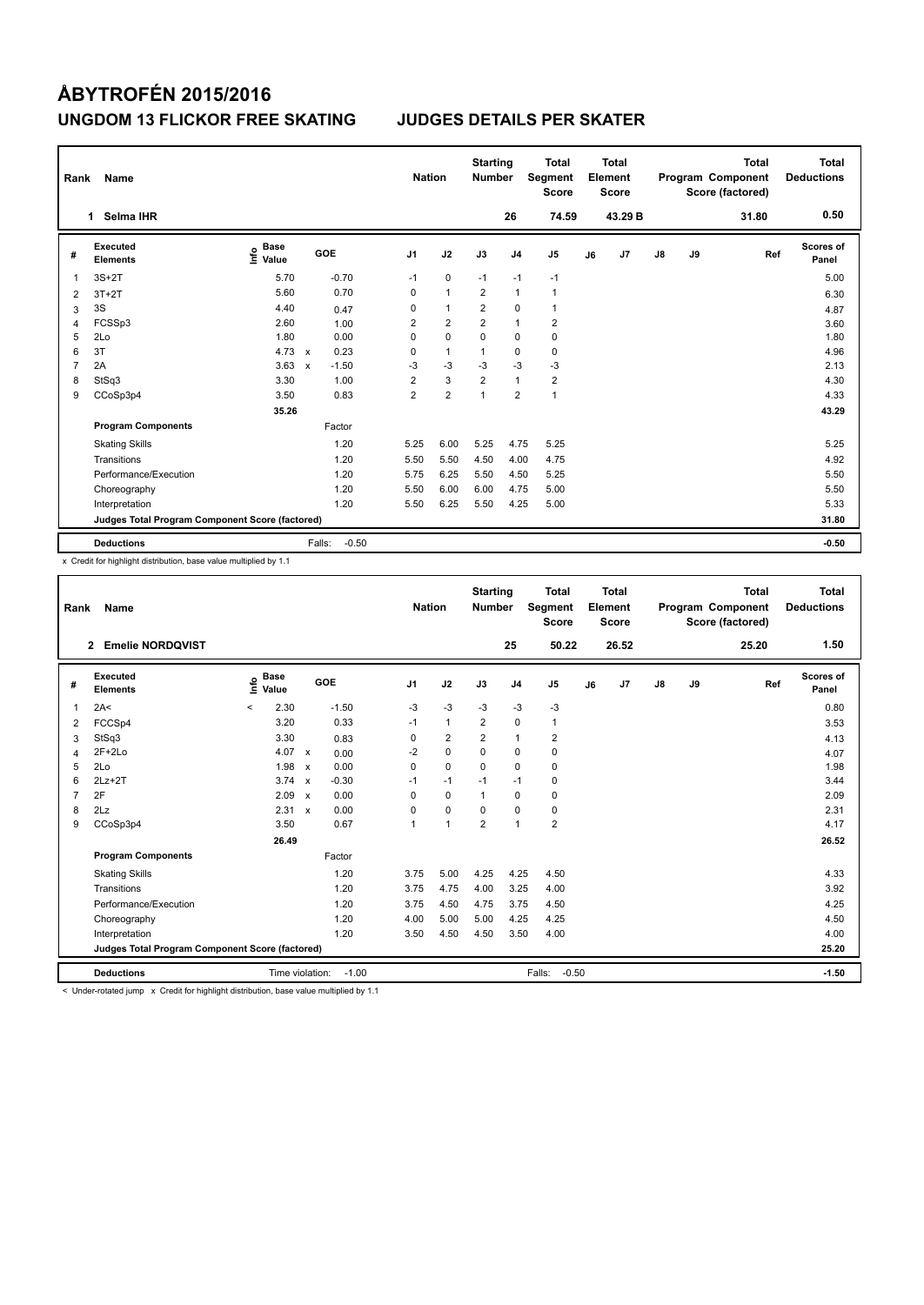| Rank | Name                                            |                                  |                           |         | <b>Nation</b>  |                | <b>Starting</b><br><b>Number</b> |                | <b>Total</b><br>Segment<br><b>Score</b> |    | <b>Total</b><br>Element<br><b>Score</b> |    |    | <b>Total</b><br>Program Component<br>Score (factored) | Total<br><b>Deductions</b> |
|------|-------------------------------------------------|----------------------------------|---------------------------|---------|----------------|----------------|----------------------------------|----------------|-----------------------------------------|----|-----------------------------------------|----|----|-------------------------------------------------------|----------------------------|
|      | Selma IHR<br>1                                  |                                  |                           |         |                |                |                                  | 26             | 74.59                                   |    | 43.29 B                                 |    |    | 31.80                                                 | 0.50                       |
| #    | <b>Executed</b><br><b>Elements</b>              | <b>Base</b><br>e Base<br>⊆ Value | GOE                       |         | J <sub>1</sub> | J2             | J3                               | J <sub>4</sub> | J <sub>5</sub>                          | J6 | J7                                      | J8 | J9 | Ref                                                   | Scores of<br>Panel         |
| 1    | $3S+2T$                                         | 5.70                             |                           | $-0.70$ | $-1$           | $\mathbf 0$    | $-1$                             | $-1$           | $-1$                                    |    |                                         |    |    |                                                       | 5.00                       |
| 2    | $3T+2T$                                         | 5.60                             |                           | 0.70    | $\mathbf 0$    | $\mathbf{1}$   | $\overline{2}$                   | $\overline{1}$ | $\mathbf{1}$                            |    |                                         |    |    |                                                       | 6.30                       |
| 3    | 3S                                              | 4.40                             |                           | 0.47    | 0              | $\mathbf{1}$   | 2                                | 0              | $\mathbf{1}$                            |    |                                         |    |    |                                                       | 4.87                       |
| 4    | FCSSp3                                          | 2.60                             |                           | 1.00    | $\overline{2}$ | $\overline{2}$ | $\overline{2}$                   | $\overline{1}$ | $\overline{2}$                          |    |                                         |    |    |                                                       | 3.60                       |
| 5    | 2Lo                                             | 1.80                             |                           | 0.00    | 0              | $\mathbf 0$    | 0                                | 0              | $\pmb{0}$                               |    |                                         |    |    |                                                       | 1.80                       |
| 6    | 3T                                              | 4.73                             | $\mathsf{x}$              | 0.23    | 0              | $\mathbf{1}$   | 1                                | 0              | $\pmb{0}$                               |    |                                         |    |    |                                                       | 4.96                       |
| 7    | 2A                                              | 3.63                             | $\boldsymbol{\mathsf{x}}$ | $-1.50$ | $-3$           | $-3$           | $-3$                             | $-3$           | $-3$                                    |    |                                         |    |    |                                                       | 2.13                       |
| 8    | StSq3                                           | 3.30                             |                           | 1.00    | $\overline{2}$ | 3              | $\overline{2}$                   | $\mathbf{1}$   | $\overline{2}$                          |    |                                         |    |    |                                                       | 4.30                       |
| 9    | CCoSp3p4                                        | 3.50                             |                           | 0.83    | $\overline{2}$ | $\overline{2}$ | $\overline{1}$                   | $\overline{2}$ | $\mathbf{1}$                            |    |                                         |    |    |                                                       | 4.33                       |
|      |                                                 | 35.26                            |                           |         |                |                |                                  |                |                                         |    |                                         |    |    |                                                       | 43.29                      |
|      | <b>Program Components</b>                       |                                  |                           | Factor  |                |                |                                  |                |                                         |    |                                         |    |    |                                                       |                            |
|      | <b>Skating Skills</b>                           |                                  |                           | 1.20    | 5.25           | 6.00           | 5.25                             | 4.75           | 5.25                                    |    |                                         |    |    |                                                       | 5.25                       |
|      | Transitions                                     |                                  |                           | 1.20    | 5.50           | 5.50           | 4.50                             | 4.00           | 4.75                                    |    |                                         |    |    |                                                       | 4.92                       |
|      | Performance/Execution                           |                                  |                           | 1.20    | 5.75           | 6.25           | 5.50                             | 4.50           | 5.25                                    |    |                                         |    |    |                                                       | 5.50                       |
|      | Choreography                                    |                                  |                           | 1.20    | 5.50           | 6.00           | 6.00                             | 4.75           | 5.00                                    |    |                                         |    |    |                                                       | 5.50                       |
|      | Interpretation                                  |                                  |                           | 1.20    | 5.50           | 6.25           | 5.50                             | 4.25           | 5.00                                    |    |                                         |    |    |                                                       | 5.33                       |
|      | Judges Total Program Component Score (factored) |                                  |                           |         |                |                |                                  |                |                                         |    |                                         |    |    |                                                       | 31.80                      |
|      | <b>Deductions</b>                               |                                  | Falls:                    | $-0.50$ |                |                |                                  |                |                                         |    |                                         |    |    |                                                       | $-0.50$                    |

x Credit for highlight distribution, base value multiplied by 1.1

| Rank                    | <b>Name</b>                                     |         |                      |                           |         | <b>Nation</b>  |                         | <b>Starting</b><br><b>Number</b> |                | Total<br>Segment<br><b>Score</b> |    | <b>Total</b><br>Element<br><b>Score</b> |    |    | <b>Total</b><br>Program Component<br>Score (factored) | <b>Total</b><br><b>Deductions</b> |
|-------------------------|-------------------------------------------------|---------|----------------------|---------------------------|---------|----------------|-------------------------|----------------------------------|----------------|----------------------------------|----|-----------------------------------------|----|----|-------------------------------------------------------|-----------------------------------|
|                         | <b>Emelie NORDQVIST</b><br>$\mathbf{2}$         |         |                      |                           |         |                |                         |                                  | 25             | 50.22                            |    | 26.52                                   |    |    | 25.20                                                 | 1.50                              |
| #                       | Executed<br><b>Elements</b>                     | ١nf٥    | <b>Base</b><br>Value |                           | GOE     | J <sub>1</sub> | J2                      | J3                               | J <sub>4</sub> | J <sub>5</sub>                   | J6 | J <sub>7</sub>                          | J8 | J9 | Ref                                                   | Scores of<br>Panel                |
| $\overline{1}$          | 2A<                                             | $\prec$ | 2.30                 |                           | $-1.50$ | $-3$           | $-3$                    | $-3$                             | $-3$           | $-3$                             |    |                                         |    |    |                                                       | 0.80                              |
| 2                       | FCCSp4                                          |         | 3.20                 |                           | 0.33    | $-1$           | $\mathbf{1}$            | 2                                | 0              | 1                                |    |                                         |    |    |                                                       | 3.53                              |
| 3                       | StSq3                                           |         | 3.30                 |                           | 0.83    | 0              | $\overline{\mathbf{c}}$ | $\overline{2}$                   | 1              | $\overline{\mathbf{c}}$          |    |                                         |    |    |                                                       | 4.13                              |
| $\overline{\mathbf{A}}$ | $2F+2Lo$                                        |         | 4.07                 | $\boldsymbol{\mathsf{x}}$ | 0.00    | $-2$           | $\pmb{0}$               | 0                                | $\mathbf 0$    | 0                                |    |                                         |    |    |                                                       | 4.07                              |
| 5                       | 2Lo                                             |         | 1.98                 | $\boldsymbol{\mathsf{x}}$ | 0.00    | $\Omega$       | $\Omega$                | $\Omega$                         | $\Omega$       | 0                                |    |                                         |    |    |                                                       | 1.98                              |
| 6                       | $2Lz+2T$                                        |         | $3.74 \times$        |                           | $-0.30$ | $-1$           | $-1$                    | $-1$                             | $-1$           | 0                                |    |                                         |    |    |                                                       | 3.44                              |
| 7                       | 2F                                              |         | 2.09                 | $\boldsymbol{\mathsf{x}}$ | 0.00    | 0              | $\mathbf 0$             | $\mathbf{1}$                     | $\mathbf 0$    | 0                                |    |                                         |    |    |                                                       | 2.09                              |
| 8                       | 2Lz                                             |         | 2.31                 | $\mathbf{x}$              | 0.00    | $\Omega$       | $\mathbf 0$             | $\Omega$                         | $\Omega$       | 0                                |    |                                         |    |    |                                                       | 2.31                              |
| 9                       | CCoSp3p4                                        |         | 3.50                 |                           | 0.67    | 1              | $\mathbf{1}$            | $\overline{2}$                   | $\overline{1}$ | $\overline{2}$                   |    |                                         |    |    |                                                       | 4.17                              |
|                         |                                                 |         | 26.49                |                           |         |                |                         |                                  |                |                                  |    |                                         |    |    |                                                       | 26.52                             |
|                         | <b>Program Components</b>                       |         |                      |                           | Factor  |                |                         |                                  |                |                                  |    |                                         |    |    |                                                       |                                   |
|                         | <b>Skating Skills</b>                           |         |                      |                           | 1.20    | 3.75           | 5.00                    | 4.25                             | 4.25           | 4.50                             |    |                                         |    |    |                                                       | 4.33                              |
|                         | Transitions                                     |         |                      |                           | 1.20    | 3.75           | 4.75                    | 4.00                             | 3.25           | 4.00                             |    |                                         |    |    |                                                       | 3.92                              |
|                         | Performance/Execution                           |         |                      |                           | 1.20    | 3.75           | 4.50                    | 4.75                             | 3.75           | 4.50                             |    |                                         |    |    |                                                       | 4.25                              |
|                         | Choreography                                    |         |                      |                           | 1.20    | 4.00           | 5.00                    | 5.00                             | 4.25           | 4.25                             |    |                                         |    |    |                                                       | 4.50                              |
|                         | Interpretation                                  |         |                      |                           | 1.20    | 3.50           | 4.50                    | 4.50                             | 3.50           | 4.00                             |    |                                         |    |    |                                                       | 4.00                              |
|                         | Judges Total Program Component Score (factored) |         |                      |                           |         |                |                         |                                  |                |                                  |    |                                         |    |    |                                                       | 25.20                             |
|                         | <b>Deductions</b>                               |         | Time violation:      |                           | $-1.00$ |                |                         |                                  |                | Falls:<br>$-0.50$                |    |                                         |    |    |                                                       | $-1.50$                           |

< Under-rotated jump x Credit for highlight distribution, base value multiplied by 1.1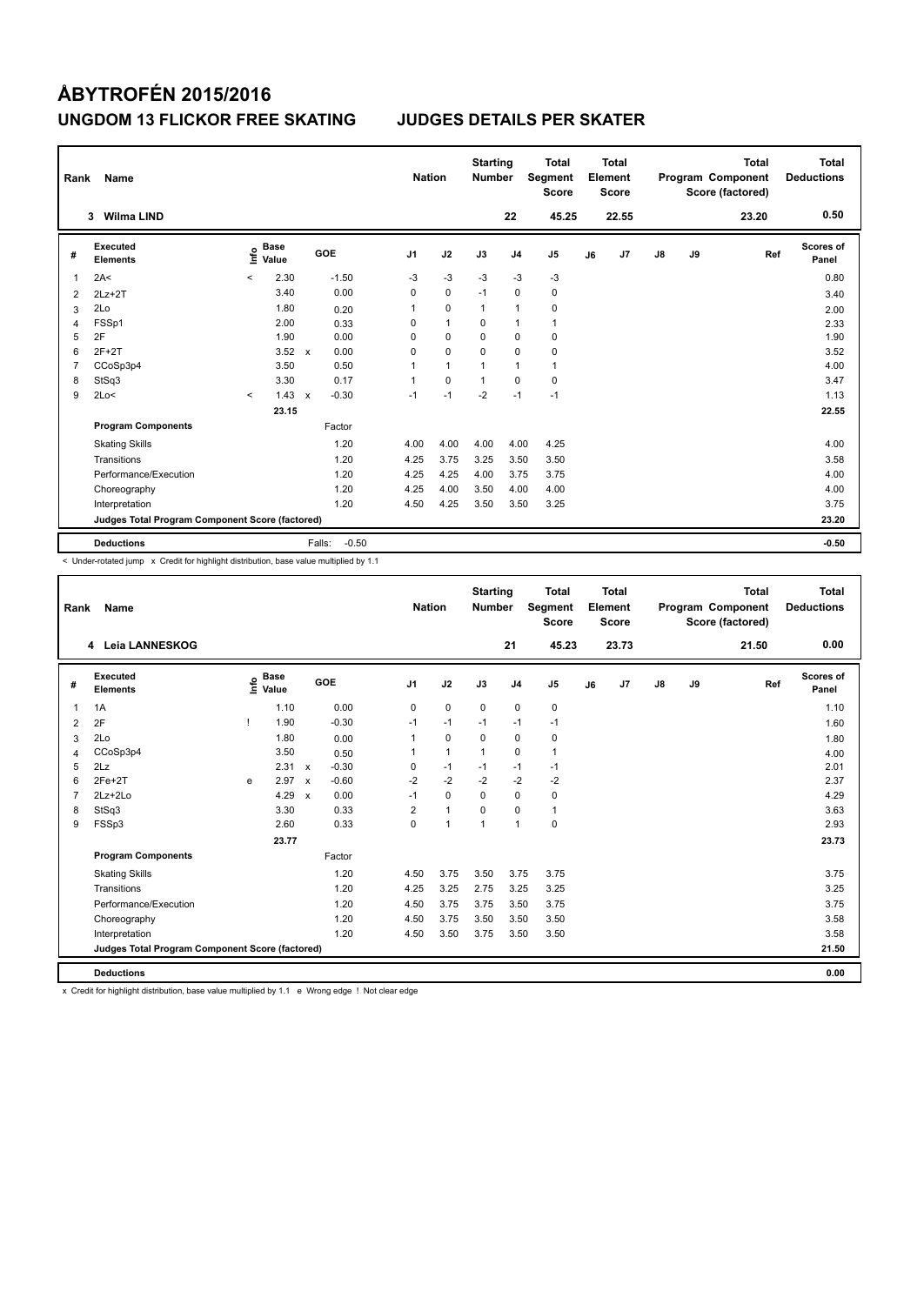| Rank           | Name                                            |         |                      |              |         | <b>Nation</b>  |              | <b>Starting</b><br><b>Number</b> |                | <b>Total</b><br>Segment<br><b>Score</b> |    | <b>Total</b><br>Element<br><b>Score</b> |    |    | <b>Total</b><br>Program Component<br>Score (factored) | <b>Total</b><br><b>Deductions</b> |
|----------------|-------------------------------------------------|---------|----------------------|--------------|---------|----------------|--------------|----------------------------------|----------------|-----------------------------------------|----|-----------------------------------------|----|----|-------------------------------------------------------|-----------------------------------|
|                | <b>Wilma LIND</b><br>3                          |         |                      |              |         |                |              |                                  | 22             | 45.25                                   |    | 22.55                                   |    |    | 23.20                                                 | 0.50                              |
| #              | Executed<br><b>Elements</b>                     | ١nf٥    | <b>Base</b><br>Value |              | GOE     | J <sub>1</sub> | J2           | J3                               | J <sub>4</sub> | J <sub>5</sub>                          | J6 | J7                                      | J8 | J9 | Ref                                                   | Scores of<br>Panel                |
| 1              | 2A<                                             | $\,<\,$ | 2.30                 |              | $-1.50$ | $-3$           | $-3$         | $-3$                             | $-3$           | $-3$                                    |    |                                         |    |    |                                                       | 0.80                              |
| 2              | $2Lz + 2T$                                      |         | 3.40                 |              | 0.00    | 0              | $\mathbf 0$  | $-1$                             | $\Omega$       | $\mathbf 0$                             |    |                                         |    |    |                                                       | 3.40                              |
| 3              | 2Lo                                             |         | 1.80                 |              | 0.20    | 1              | $\mathbf 0$  | $\mathbf{1}$                     | -1             | 0                                       |    |                                         |    |    |                                                       | 2.00                              |
| 4              | FSSp1                                           |         | 2.00                 |              | 0.33    | 0              | $\mathbf{1}$ | $\Omega$                         | $\mathbf{1}$   | $\mathbf{1}$                            |    |                                         |    |    |                                                       | 2.33                              |
| 5              | 2F                                              |         | 1.90                 |              | 0.00    | 0              | $\mathbf 0$  | $\Omega$                         | $\mathbf 0$    | $\pmb{0}$                               |    |                                         |    |    |                                                       | 1.90                              |
| 6              | $2F+2T$                                         |         | 3.52                 | $\mathbf{x}$ | 0.00    | 0              | $\Omega$     | $\Omega$                         | $\Omega$       | 0                                       |    |                                         |    |    |                                                       | 3.52                              |
| $\overline{7}$ | CCoSp3p4                                        |         | 3.50                 |              | 0.50    | 1              | $\mathbf{1}$ | 1                                | $\overline{1}$ | $\mathbf{1}$                            |    |                                         |    |    |                                                       | 4.00                              |
| 8              | StSq3                                           |         | 3.30                 |              | 0.17    | 1              | $\Omega$     | $\mathbf{1}$                     | $\Omega$       | $\pmb{0}$                               |    |                                         |    |    |                                                       | 3.47                              |
| 9              | 2Lo<                                            | $\prec$ | 1.43                 | $\mathsf{x}$ | $-0.30$ | $-1$           | $-1$         | $-2$                             | $-1$           | $-1$                                    |    |                                         |    |    |                                                       | 1.13                              |
|                |                                                 |         | 23.15                |              |         |                |              |                                  |                |                                         |    |                                         |    |    |                                                       | 22.55                             |
|                | <b>Program Components</b>                       |         |                      |              | Factor  |                |              |                                  |                |                                         |    |                                         |    |    |                                                       |                                   |
|                | <b>Skating Skills</b>                           |         |                      |              | 1.20    | 4.00           | 4.00         | 4.00                             | 4.00           | 4.25                                    |    |                                         |    |    |                                                       | 4.00                              |
|                | Transitions                                     |         |                      |              | 1.20    | 4.25           | 3.75         | 3.25                             | 3.50           | 3.50                                    |    |                                         |    |    |                                                       | 3.58                              |
|                | Performance/Execution                           |         |                      |              | 1.20    | 4.25           | 4.25         | 4.00                             | 3.75           | 3.75                                    |    |                                         |    |    |                                                       | 4.00                              |
|                | Choreography                                    |         |                      |              | 1.20    | 4.25           | 4.00         | 3.50                             | 4.00           | 4.00                                    |    |                                         |    |    |                                                       | 4.00                              |
|                | Interpretation                                  |         |                      |              | 1.20    | 4.50           | 4.25         | 3.50                             | 3.50           | 3.25                                    |    |                                         |    |    |                                                       | 3.75                              |
|                | Judges Total Program Component Score (factored) |         |                      |              |         |                |              |                                  |                |                                         |    |                                         |    |    |                                                       | 23.20                             |
|                | <b>Deductions</b>                               |         |                      | Falls:       | $-0.50$ |                |              |                                  |                |                                         |    |                                         |    |    |                                                       | $-0.50$                           |

< Under-rotated jump x Credit for highlight distribution, base value multiplied by 1.1

| Rank           | <b>Name</b>                                     |   |                                    |                           |         |                | <b>Nation</b>        | <b>Starting</b><br><b>Number</b> |                | <b>Total</b><br>Segment<br><b>Score</b> |    | <b>Total</b><br>Element<br><b>Score</b> |               |    | <b>Total</b><br>Program Component<br>Score (factored) | <b>Total</b><br><b>Deductions</b> |
|----------------|-------------------------------------------------|---|------------------------------------|---------------------------|---------|----------------|----------------------|----------------------------------|----------------|-----------------------------------------|----|-----------------------------------------|---------------|----|-------------------------------------------------------|-----------------------------------|
|                | Leia LANNESKOG<br>4                             |   |                                    |                           |         |                |                      |                                  | 21             | 45.23                                   |    | 23.73                                   |               |    | 21.50                                                 | 0.00                              |
| #              | <b>Executed</b><br><b>Elements</b>              |   | <b>Base</b><br>$\frac{6}{5}$ Value |                           | GOE     | J <sub>1</sub> | J2                   | J3                               | J <sub>4</sub> | J <sub>5</sub>                          | J6 | J7                                      | $\mathsf{J}8$ | J9 | Ref                                                   | <b>Scores of</b><br>Panel         |
| $\overline{1}$ | 1A                                              |   | 1.10                               |                           | 0.00    | $\mathbf 0$    | $\mathbf 0$          | $\mathbf 0$                      | $\mathbf 0$    | $\pmb{0}$                               |    |                                         |               |    |                                                       | 1.10                              |
| 2              | 2F                                              | 1 | 1.90                               |                           | $-0.30$ | $-1$           | $-1$                 | $-1$                             | $-1$           | $-1$                                    |    |                                         |               |    |                                                       | 1.60                              |
| 3              | 2Lo                                             |   | 1.80                               |                           | 0.00    | 1              | $\mathbf 0$          | $\Omega$                         | $\mathbf 0$    | 0                                       |    |                                         |               |    |                                                       | 1.80                              |
| 4              | CCoSp3p4                                        |   | 3.50                               |                           | 0.50    | 1              | $\mathbf{1}$         | $\mathbf{1}$                     | $\mathbf 0$    | $\mathbf{1}$                            |    |                                         |               |    |                                                       | 4.00                              |
| 5              | 2Lz                                             |   | 2.31                               | $\boldsymbol{\mathsf{x}}$ | $-0.30$ | 0              | $-1$                 | $-1$                             | $-1$           | $-1$                                    |    |                                         |               |    |                                                       | 2.01                              |
| 6              | $2Fe+2T$                                        | e | 2.97                               | $\boldsymbol{\mathsf{x}}$ | $-0.60$ | $-2$           | $-2$                 | $-2$                             | $-2$           | $-2$                                    |    |                                         |               |    |                                                       | 2.37                              |
| $\overline{7}$ | $2Lz + 2Lo$                                     |   | 4.29                               | $\boldsymbol{\mathsf{x}}$ | 0.00    | $-1$           | $\mathbf 0$          | $\mathbf 0$                      | $\mathbf 0$    | 0                                       |    |                                         |               |    |                                                       | 4.29                              |
| 8              | StSq3                                           |   | 3.30                               |                           | 0.33    | $\overline{2}$ | $\overline{1}$       | 0                                | $\mathbf 0$    | $\mathbf{1}$                            |    |                                         |               |    |                                                       | 3.63                              |
| 9              | FSSp3                                           |   | 2.60                               |                           | 0.33    | $\Omega$       | $\blacktriangleleft$ | $\mathbf{1}$                     | $\mathbf{1}$   | 0                                       |    |                                         |               |    |                                                       | 2.93                              |
|                |                                                 |   | 23.77                              |                           |         |                |                      |                                  |                |                                         |    |                                         |               |    |                                                       | 23.73                             |
|                | <b>Program Components</b>                       |   |                                    |                           | Factor  |                |                      |                                  |                |                                         |    |                                         |               |    |                                                       |                                   |
|                | <b>Skating Skills</b>                           |   |                                    |                           | 1.20    | 4.50           | 3.75                 | 3.50                             | 3.75           | 3.75                                    |    |                                         |               |    |                                                       | 3.75                              |
|                | Transitions                                     |   |                                    |                           | 1.20    | 4.25           | 3.25                 | 2.75                             | 3.25           | 3.25                                    |    |                                         |               |    |                                                       | 3.25                              |
|                | Performance/Execution                           |   |                                    |                           | 1.20    | 4.50           | 3.75                 | 3.75                             | 3.50           | 3.75                                    |    |                                         |               |    |                                                       | 3.75                              |
|                | Choreography                                    |   |                                    |                           | 1.20    | 4.50           | 3.75                 | 3.50                             | 3.50           | 3.50                                    |    |                                         |               |    |                                                       | 3.58                              |
|                | Interpretation                                  |   |                                    |                           | 1.20    | 4.50           | 3.50                 | 3.75                             | 3.50           | 3.50                                    |    |                                         |               |    |                                                       | 3.58                              |
|                | Judges Total Program Component Score (factored) |   |                                    |                           |         |                |                      |                                  |                |                                         |    |                                         |               |    |                                                       | 21.50                             |
|                | <b>Deductions</b>                               |   |                                    |                           |         |                |                      |                                  |                |                                         |    |                                         |               |    |                                                       | 0.00                              |

x Credit for highlight distribution, base value multiplied by 1.1 e Wrong edge ! Not clear edge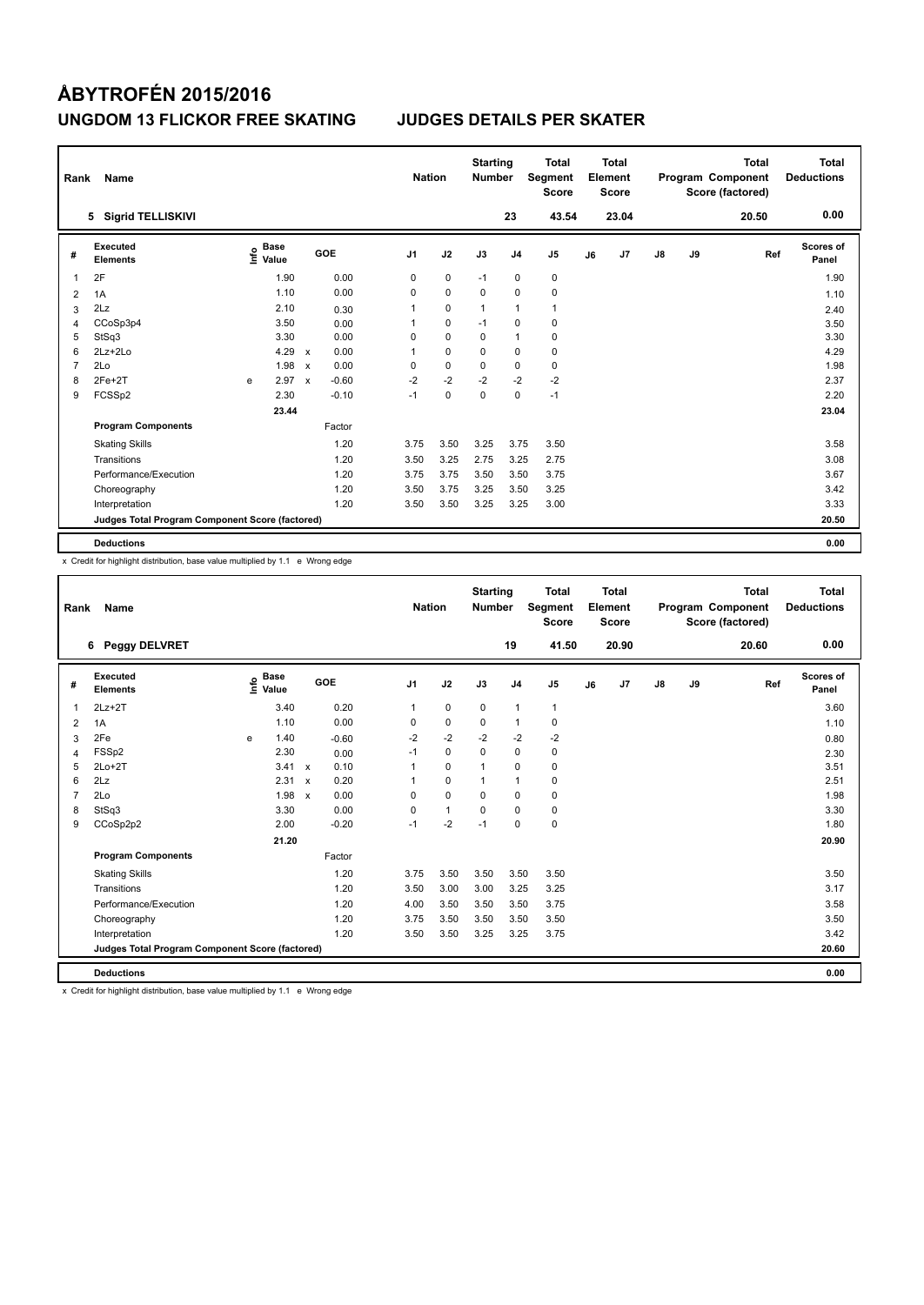| Rank           | Name                                            |      |                      |                           |         | <b>Nation</b>  |             | <b>Starting</b><br><b>Number</b> |                | Total<br>Segment<br><b>Score</b> |    | <b>Total</b><br>Element<br><b>Score</b> |               |    | <b>Total</b><br>Program Component<br>Score (factored) | <b>Total</b><br><b>Deductions</b> |
|----------------|-------------------------------------------------|------|----------------------|---------------------------|---------|----------------|-------------|----------------------------------|----------------|----------------------------------|----|-----------------------------------------|---------------|----|-------------------------------------------------------|-----------------------------------|
|                | 5 Sigrid TELLISKIVI                             |      |                      |                           |         |                |             |                                  | 23             | 43.54                            |    | 23.04                                   |               |    | 20.50                                                 | 0.00                              |
| #              | Executed<br><b>Elements</b>                     | lnfo | <b>Base</b><br>Value |                           | GOE     | J <sub>1</sub> | J2          | J3                               | J <sub>4</sub> | J <sub>5</sub>                   | J6 | J7                                      | $\mathsf{J}8$ | J9 | Ref                                                   | <b>Scores of</b><br>Panel         |
| 1              | 2F                                              |      | 1.90                 |                           | 0.00    | 0              | 0           | $-1$                             | 0              | 0                                |    |                                         |               |    |                                                       | 1.90                              |
| $\overline{2}$ | 1A                                              |      | 1.10                 |                           | 0.00    | 0              | $\mathbf 0$ | 0                                | 0              | 0                                |    |                                         |               |    |                                                       | 1.10                              |
| 3              | 2Lz                                             |      | 2.10                 |                           | 0.30    | 1              | $\mathbf 0$ | $\overline{1}$                   | $\mathbf{1}$   | $\mathbf{1}$                     |    |                                         |               |    |                                                       | 2.40                              |
| 4              | CCoSp3p4                                        |      | 3.50                 |                           | 0.00    | 1              | $\mathbf 0$ | $-1$                             | 0              | 0                                |    |                                         |               |    |                                                       | 3.50                              |
| 5              | StSq3                                           |      | 3.30                 |                           | 0.00    | 0              | $\mathbf 0$ | 0                                | $\mathbf{1}$   | $\mathbf 0$                      |    |                                         |               |    |                                                       | 3.30                              |
| 6              | $2Lz+2Lo$                                       |      | 4.29                 | $\boldsymbol{\mathsf{x}}$ | 0.00    | 1              | $\mathbf 0$ | $\mathbf 0$                      | $\mathbf 0$    | 0                                |    |                                         |               |    |                                                       | 4.29                              |
| $\overline{7}$ | 2Lo                                             |      | 1.98                 | $\mathsf{x}$              | 0.00    | 0              | $\mathbf 0$ | 0                                | 0              | 0                                |    |                                         |               |    |                                                       | 1.98                              |
| 8              | $2Fe+2T$                                        | e    | 2.97                 | $\boldsymbol{\mathsf{x}}$ | $-0.60$ | $-2$           | $-2$        | $-2$                             | $-2$           | $-2$                             |    |                                         |               |    |                                                       | 2.37                              |
| 9              | FCSSp2                                          |      | 2.30                 |                           | $-0.10$ | $-1$           | $\mathbf 0$ | $\mathbf 0$                      | $\mathbf 0$    | $-1$                             |    |                                         |               |    |                                                       | 2.20                              |
|                |                                                 |      | 23.44                |                           |         |                |             |                                  |                |                                  |    |                                         |               |    |                                                       | 23.04                             |
|                | <b>Program Components</b>                       |      |                      |                           | Factor  |                |             |                                  |                |                                  |    |                                         |               |    |                                                       |                                   |
|                | <b>Skating Skills</b>                           |      |                      |                           | 1.20    | 3.75           | 3.50        | 3.25                             | 3.75           | 3.50                             |    |                                         |               |    |                                                       | 3.58                              |
|                | Transitions                                     |      |                      |                           | 1.20    | 3.50           | 3.25        | 2.75                             | 3.25           | 2.75                             |    |                                         |               |    |                                                       | 3.08                              |
|                | Performance/Execution                           |      |                      |                           | 1.20    | 3.75           | 3.75        | 3.50                             | 3.50           | 3.75                             |    |                                         |               |    |                                                       | 3.67                              |
|                | Choreography                                    |      |                      |                           | 1.20    | 3.50           | 3.75        | 3.25                             | 3.50           | 3.25                             |    |                                         |               |    |                                                       | 3.42                              |
|                | Interpretation                                  |      |                      |                           | 1.20    | 3.50           | 3.50        | 3.25                             | 3.25           | 3.00                             |    |                                         |               |    |                                                       | 3.33                              |
|                | Judges Total Program Component Score (factored) |      |                      |                           |         |                |             |                                  |                |                                  |    |                                         |               |    |                                                       | 20.50                             |
|                | <b>Deductions</b>                               |      |                      |                           |         |                |             |                                  |                |                                  |    |                                         |               |    |                                                       | 0.00                              |

x Credit for highlight distribution, base value multiplied by 1.1 e Wrong edge

| Rank           | <b>Name</b>                                     |   |                                  |                           |         | <b>Nation</b>  |              | <b>Starting</b><br><b>Number</b> |                | <b>Total</b><br>Segment<br><b>Score</b> |    | Total<br>Element<br><b>Score</b> |               |    | <b>Total</b><br>Program Component<br>Score (factored) | Total<br><b>Deductions</b> |
|----------------|-------------------------------------------------|---|----------------------------------|---------------------------|---------|----------------|--------------|----------------------------------|----------------|-----------------------------------------|----|----------------------------------|---------------|----|-------------------------------------------------------|----------------------------|
|                | Peggy DELVRET<br>6                              |   |                                  |                           |         |                |              |                                  | 19             | 41.50                                   |    | 20.90                            |               |    | 20.60                                                 | 0.00                       |
| #              | Executed<br><b>Elements</b>                     |   | <b>Base</b><br>e Base<br>⊆ Value |                           | GOE     | J <sub>1</sub> | J2           | J3                               | J <sub>4</sub> | J <sub>5</sub>                          | J6 | J7                               | $\mathsf{J}8$ | J9 | Ref                                                   | Scores of<br>Panel         |
| $\mathbf{1}$   | $2Lz + 2T$                                      |   | 3.40                             |                           | 0.20    | $\mathbf{1}$   | $\mathbf 0$  | $\mathbf 0$                      | $\mathbf{1}$   | $\mathbf{1}$                            |    |                                  |               |    |                                                       | 3.60                       |
| $\overline{2}$ | 1A                                              |   | 1.10                             |                           | 0.00    | 0              | $\mathbf 0$  | $\mathbf 0$                      | $\mathbf{1}$   | $\mathbf 0$                             |    |                                  |               |    |                                                       | 1.10                       |
| 3              | 2Fe                                             | e | 1.40                             |                           | $-0.60$ | $-2$           | $-2$         | $-2$                             | $-2$           | $-2$                                    |    |                                  |               |    |                                                       | 0.80                       |
| 4              | FSSp2                                           |   | 2.30                             |                           | 0.00    | $-1$           | $\mathbf 0$  | $\Omega$                         | $\mathbf 0$    | 0                                       |    |                                  |               |    |                                                       | 2.30                       |
| 5              | $2Lo+2T$                                        |   | 3.41                             | $\boldsymbol{\mathsf{x}}$ | 0.10    |                | $\mathbf 0$  | 1                                | $\mathbf 0$    | $\mathbf 0$                             |    |                                  |               |    |                                                       | 3.51                       |
| 6              | 2Lz                                             |   | 2.31                             | $\boldsymbol{\mathsf{x}}$ | 0.20    |                | $\mathbf 0$  | $\mathbf{1}$                     | $\mathbf{1}$   | $\mathbf 0$                             |    |                                  |               |    |                                                       | 2.51                       |
| $\overline{7}$ | 2Lo                                             |   | 1.98                             | $\boldsymbol{\mathsf{x}}$ | 0.00    | 0              | $\mathbf 0$  | $\Omega$                         | $\mathbf 0$    | $\mathbf 0$                             |    |                                  |               |    |                                                       | 1.98                       |
| 8              | StSq3                                           |   | 3.30                             |                           | 0.00    | $\Omega$       | $\mathbf{1}$ | 0                                | 0              | 0                                       |    |                                  |               |    |                                                       | 3.30                       |
| 9              | CCoSp2p2                                        |   | 2.00                             |                           | $-0.20$ | $-1$           | $-2$         | $-1$                             | $\mathbf 0$    | 0                                       |    |                                  |               |    |                                                       | 1.80                       |
|                |                                                 |   | 21.20                            |                           |         |                |              |                                  |                |                                         |    |                                  |               |    |                                                       | 20.90                      |
|                | <b>Program Components</b>                       |   |                                  |                           | Factor  |                |              |                                  |                |                                         |    |                                  |               |    |                                                       |                            |
|                | <b>Skating Skills</b>                           |   |                                  |                           | 1.20    | 3.75           | 3.50         | 3.50                             | 3.50           | 3.50                                    |    |                                  |               |    |                                                       | 3.50                       |
|                | Transitions                                     |   |                                  |                           | 1.20    | 3.50           | 3.00         | 3.00                             | 3.25           | 3.25                                    |    |                                  |               |    |                                                       | 3.17                       |
|                | Performance/Execution                           |   |                                  |                           | 1.20    | 4.00           | 3.50         | 3.50                             | 3.50           | 3.75                                    |    |                                  |               |    |                                                       | 3.58                       |
|                | Choreography                                    |   |                                  |                           | 1.20    | 3.75           | 3.50         | 3.50                             | 3.50           | 3.50                                    |    |                                  |               |    |                                                       | 3.50                       |
|                | Interpretation                                  |   |                                  |                           | 1.20    | 3.50           | 3.50         | 3.25                             | 3.25           | 3.75                                    |    |                                  |               |    |                                                       | 3.42                       |
|                | Judges Total Program Component Score (factored) |   |                                  |                           |         |                |              |                                  |                |                                         |    |                                  |               |    |                                                       | 20.60                      |
|                | <b>Deductions</b>                               |   |                                  |                           |         |                |              |                                  |                |                                         |    |                                  |               |    |                                                       | 0.00                       |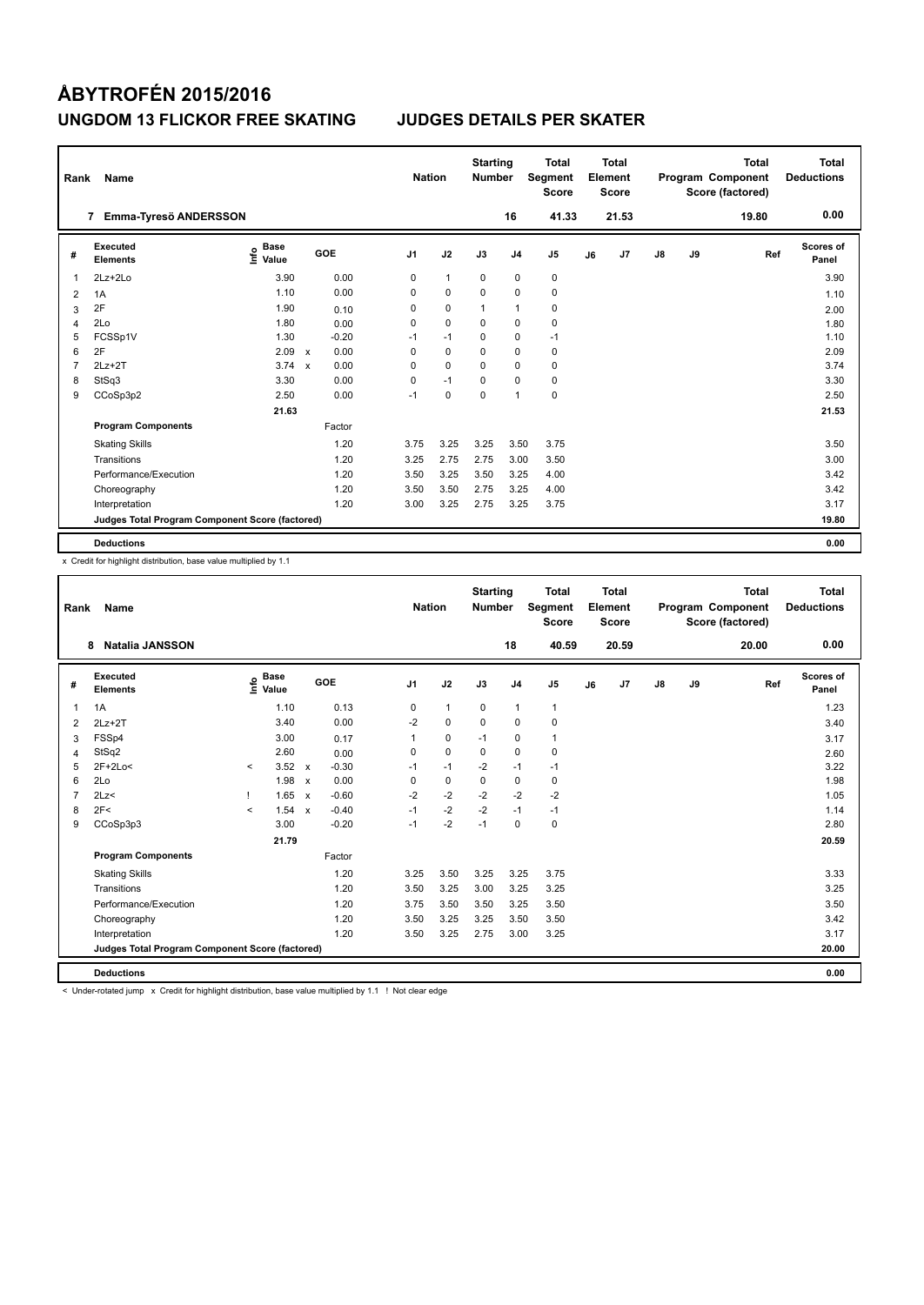| Rank         | <b>Name</b>                                     |                                  |              |         |                | <b>Nation</b> | <b>Starting</b><br><b>Number</b> |                | <b>Total</b><br>Segment<br><b>Score</b> |    | <b>Total</b><br>Element<br><b>Score</b> |               |    | <b>Total</b><br>Program Component<br>Score (factored) | Total<br><b>Deductions</b> |
|--------------|-------------------------------------------------|----------------------------------|--------------|---------|----------------|---------------|----------------------------------|----------------|-----------------------------------------|----|-----------------------------------------|---------------|----|-------------------------------------------------------|----------------------------|
|              | Emma-Tyresö ANDERSSON<br>7                      |                                  |              |         |                |               |                                  | 16             | 41.33                                   |    | 21.53                                   |               |    | 19.80                                                 | 0.00                       |
| #            | Executed<br><b>Elements</b>                     | <b>Base</b><br>e Base<br>E Value |              | GOE     | J <sub>1</sub> | J2            | J3                               | J <sub>4</sub> | J <sub>5</sub>                          | J6 | J7                                      | $\mathsf{J}8$ | J9 | Ref                                                   | <b>Scores of</b><br>Panel  |
| $\mathbf{1}$ | $2Lz + 2Lo$                                     | 3.90                             |              | 0.00    | 0              | $\mathbf{1}$  | 0                                | 0              | 0                                       |    |                                         |               |    |                                                       | 3.90                       |
| 2            | 1A                                              | 1.10                             |              | 0.00    | 0              | $\mathbf 0$   | $\Omega$                         | $\mathbf 0$    | $\mathbf 0$                             |    |                                         |               |    |                                                       | 1.10                       |
| 3            | 2F                                              | 1.90                             |              | 0.10    | 0              | $\mathbf 0$   | 1                                | $\mathbf{1}$   | 0                                       |    |                                         |               |    |                                                       | 2.00                       |
| 4            | 2Lo                                             | 1.80                             |              | 0.00    | 0              | $\mathbf 0$   | 0                                | $\mathbf 0$    | 0                                       |    |                                         |               |    |                                                       | 1.80                       |
| 5            | FCSSp1V                                         | 1.30                             |              | $-0.20$ | $-1$           | $-1$          | $\Omega$                         | $\mathbf 0$    | $-1$                                    |    |                                         |               |    |                                                       | 1.10                       |
| 6            | 2F                                              | 2.09                             | $\mathsf{x}$ | 0.00    | 0              | $\mathbf 0$   | $\mathbf 0$                      | $\mathbf 0$    | $\mathbf 0$                             |    |                                         |               |    |                                                       | 2.09                       |
| 7            | $2Lz+2T$                                        | 3.74                             | $\mathsf{x}$ | 0.00    | 0              | $\mathbf 0$   | $\mathbf 0$                      | $\mathbf 0$    | 0                                       |    |                                         |               |    |                                                       | 3.74                       |
| 8            | StSq3                                           | 3.30                             |              | 0.00    | 0              | $-1$          | 0                                | 0              | 0                                       |    |                                         |               |    |                                                       | 3.30                       |
| 9            | CCoSp3p2                                        | 2.50                             |              | 0.00    | $-1$           | $\mathbf 0$   | $\mathbf 0$                      | $\mathbf{1}$   | $\mathbf 0$                             |    |                                         |               |    |                                                       | 2.50                       |
|              |                                                 | 21.63                            |              |         |                |               |                                  |                |                                         |    |                                         |               |    |                                                       | 21.53                      |
|              | <b>Program Components</b>                       |                                  |              | Factor  |                |               |                                  |                |                                         |    |                                         |               |    |                                                       |                            |
|              | <b>Skating Skills</b>                           |                                  |              | 1.20    | 3.75           | 3.25          | 3.25                             | 3.50           | 3.75                                    |    |                                         |               |    |                                                       | 3.50                       |
|              | Transitions                                     |                                  |              | 1.20    | 3.25           | 2.75          | 2.75                             | 3.00           | 3.50                                    |    |                                         |               |    |                                                       | 3.00                       |
|              | Performance/Execution                           |                                  |              | 1.20    | 3.50           | 3.25          | 3.50                             | 3.25           | 4.00                                    |    |                                         |               |    |                                                       | 3.42                       |
|              | Choreography                                    |                                  |              | 1.20    | 3.50           | 3.50          | 2.75                             | 3.25           | 4.00                                    |    |                                         |               |    |                                                       | 3.42                       |
|              | Interpretation                                  |                                  |              | 1.20    | 3.00           | 3.25          | 2.75                             | 3.25           | 3.75                                    |    |                                         |               |    |                                                       | 3.17                       |
|              | Judges Total Program Component Score (factored) |                                  |              |         |                |               |                                  |                |                                         |    |                                         |               |    |                                                       | 19.80                      |
|              | <b>Deductions</b>                               |                                  |              |         |                |               |                                  |                |                                         |    |                                         |               |    |                                                       | 0.00                       |

x Credit for highlight distribution, base value multiplied by 1.1

| Rank           | Name                                            |         |                                  |                           |         |                | <b>Nation</b> | <b>Starting</b><br><b>Number</b> |                | <b>Total</b><br>Segment<br><b>Score</b> |    | <b>Total</b><br>Element<br><b>Score</b> |               |    | <b>Total</b><br>Program Component<br>Score (factored) | <b>Total</b><br><b>Deductions</b> |
|----------------|-------------------------------------------------|---------|----------------------------------|---------------------------|---------|----------------|---------------|----------------------------------|----------------|-----------------------------------------|----|-----------------------------------------|---------------|----|-------------------------------------------------------|-----------------------------------|
|                | <b>Natalia JANSSON</b><br>8                     |         |                                  |                           |         |                |               |                                  | 18             | 40.59                                   |    | 20.59                                   |               |    | 20.00                                                 | 0.00                              |
| #              | Executed<br><b>Elements</b>                     |         | <b>Base</b><br>e Base<br>⊆ Value |                           | GOE     | J <sub>1</sub> | J2            | J3                               | J <sub>4</sub> | J <sub>5</sub>                          | J6 | J7                                      | $\mathsf{J}8$ | J9 | Ref                                                   | Scores of<br>Panel                |
| $\overline{1}$ | 1A                                              |         | 1.10                             |                           | 0.13    | 0              | $\mathbf{1}$  | $\mathbf 0$                      | 1              | $\mathbf{1}$                            |    |                                         |               |    |                                                       | 1.23                              |
| 2              | $2Lz+2T$                                        |         | 3.40                             |                           | 0.00    | $-2$           | $\mathbf 0$   | $\mathbf 0$                      | $\mathbf 0$    | $\mathbf 0$                             |    |                                         |               |    |                                                       | 3.40                              |
| 3              | FSSp4                                           |         | 3.00                             |                           | 0.17    | 1              | $\mathbf 0$   | $-1$                             | $\pmb{0}$      | 1                                       |    |                                         |               |    |                                                       | 3.17                              |
| $\overline{4}$ | StSq2                                           |         | 2.60                             |                           | 0.00    | 0              | $\mathbf 0$   | 0                                | $\mathbf 0$    | $\mathbf 0$                             |    |                                         |               |    |                                                       | 2.60                              |
| 5              | $2F+2Lo<$                                       | $\prec$ | 3.52                             | $\mathsf{x}$              | $-0.30$ | $-1$           | $-1$          | $-2$                             | $-1$           | $-1$                                    |    |                                         |               |    |                                                       | 3.22                              |
| 6              | 2Lo                                             |         | 1.98                             | $\boldsymbol{\mathsf{x}}$ | 0.00    | $\Omega$       | $\mathbf 0$   | $\mathbf 0$                      | $\mathbf 0$    | 0                                       |    |                                         |               |    |                                                       | 1.98                              |
| $\overline{7}$ | 2Lz<                                            |         | 1.65                             | $\boldsymbol{\mathsf{x}}$ | $-0.60$ | $-2$           | $-2$          | $-2$                             | $-2$           | $-2$                                    |    |                                         |               |    |                                                       | 1.05                              |
| 8              | 2F<                                             | $\prec$ | 1.54                             | $\mathbf{x}$              | $-0.40$ | $-1$           | $-2$          | $-2$                             | $-1$           | $-1$                                    |    |                                         |               |    |                                                       | 1.14                              |
| 9              | CCoSp3p3                                        |         | 3.00                             |                           | $-0.20$ | $-1$           | $-2$          | $-1$                             | $\mathbf 0$    | 0                                       |    |                                         |               |    |                                                       | 2.80                              |
|                |                                                 |         | 21.79                            |                           |         |                |               |                                  |                |                                         |    |                                         |               |    |                                                       | 20.59                             |
|                | <b>Program Components</b>                       |         |                                  |                           | Factor  |                |               |                                  |                |                                         |    |                                         |               |    |                                                       |                                   |
|                | <b>Skating Skills</b>                           |         |                                  |                           | 1.20    | 3.25           | 3.50          | 3.25                             | 3.25           | 3.75                                    |    |                                         |               |    |                                                       | 3.33                              |
|                | Transitions                                     |         |                                  |                           | 1.20    | 3.50           | 3.25          | 3.00                             | 3.25           | 3.25                                    |    |                                         |               |    |                                                       | 3.25                              |
|                | Performance/Execution                           |         |                                  |                           | 1.20    | 3.75           | 3.50          | 3.50                             | 3.25           | 3.50                                    |    |                                         |               |    |                                                       | 3.50                              |
|                | Choreography                                    |         |                                  |                           | 1.20    | 3.50           | 3.25          | 3.25                             | 3.50           | 3.50                                    |    |                                         |               |    |                                                       | 3.42                              |
|                | Interpretation                                  |         |                                  |                           | 1.20    | 3.50           | 3.25          | 2.75                             | 3.00           | 3.25                                    |    |                                         |               |    |                                                       | 3.17                              |
|                | Judges Total Program Component Score (factored) |         |                                  |                           |         |                |               |                                  |                |                                         |    |                                         |               |    |                                                       | 20.00                             |
|                | <b>Deductions</b>                               |         |                                  |                           |         |                |               |                                  |                |                                         |    |                                         |               |    |                                                       | 0.00                              |

< Under-rotated jump x Credit for highlight distribution, base value multiplied by 1.1 ! Not clear edge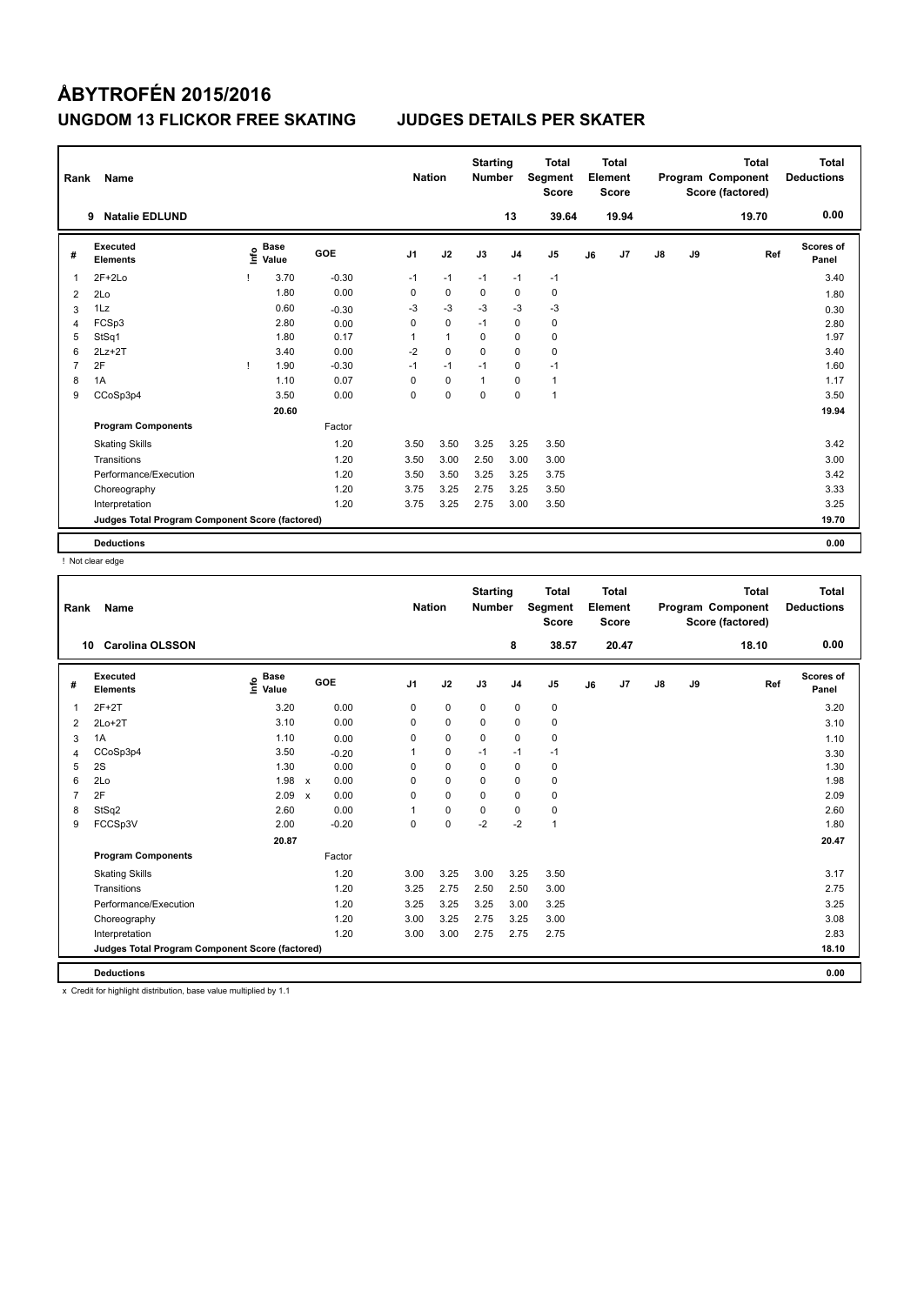| Rank           | Name                                            |      |                      |         | <b>Nation</b>  |              | <b>Starting</b><br><b>Number</b> |                | <b>Total</b><br>Segment<br><b>Score</b> |    | <b>Total</b><br>Element<br><b>Score</b> |               |    | <b>Total</b><br>Program Component<br>Score (factored) | <b>Total</b><br><b>Deductions</b> |
|----------------|-------------------------------------------------|------|----------------------|---------|----------------|--------------|----------------------------------|----------------|-----------------------------------------|----|-----------------------------------------|---------------|----|-------------------------------------------------------|-----------------------------------|
|                | <b>Natalie EDLUND</b><br>9                      |      |                      |         |                |              |                                  | 13             | 39.64                                   |    | 19.94                                   |               |    | 19.70                                                 | 0.00                              |
| #              | Executed<br><b>Elements</b>                     | ١nf٥ | <b>Base</b><br>Value | GOE     | J <sub>1</sub> | J2           | J3                               | J <sub>4</sub> | J <sub>5</sub>                          | J6 | J7                                      | $\mathsf{J}8$ | J9 | Ref                                                   | <b>Scores of</b><br>Panel         |
| 1              | $2F+2Lo$                                        |      | 3.70                 | $-0.30$ | $-1$           | $-1$         | $-1$                             | $-1$           | $-1$                                    |    |                                         |               |    |                                                       | 3.40                              |
| 2              | 2Lo                                             |      | 1.80                 | 0.00    | 0              | 0            | 0                                | $\mathbf 0$    | 0                                       |    |                                         |               |    |                                                       | 1.80                              |
| 3              | 1Lz                                             |      | 0.60                 | $-0.30$ | $-3$           | $-3$         | $-3$                             | $-3$           | $-3$                                    |    |                                         |               |    |                                                       | 0.30                              |
| 4              | FCSp3                                           |      | 2.80                 | 0.00    | $\mathbf 0$    | $\mathbf 0$  | $-1$                             | $\mathbf 0$    | $\pmb{0}$                               |    |                                         |               |    |                                                       | 2.80                              |
| 5              | StSq1                                           |      | 1.80                 | 0.17    | 1              | $\mathbf{1}$ | 0                                | $\mathbf 0$    | $\pmb{0}$                               |    |                                         |               |    |                                                       | 1.97                              |
| 6              | $2Lz+2T$                                        |      | 3.40                 | 0.00    | $-2$           | $\mathbf 0$  | $\Omega$                         | $\mathbf 0$    | $\mathbf 0$                             |    |                                         |               |    |                                                       | 3.40                              |
| $\overline{7}$ | 2F                                              |      | 1.90                 | $-0.30$ | $-1$           | $-1$         | $-1$                             | $\mathbf 0$    | $-1$                                    |    |                                         |               |    |                                                       | 1.60                              |
| 8              | 1A                                              |      | 1.10                 | 0.07    | 0              | $\mathbf 0$  | $\mathbf{1}$                     | $\mathbf 0$    | $\mathbf{1}$                            |    |                                         |               |    |                                                       | 1.17                              |
| 9              | CCoSp3p4                                        |      | 3.50                 | 0.00    | 0              | $\mathbf 0$  | 0                                | $\mathbf 0$    | 1                                       |    |                                         |               |    |                                                       | 3.50                              |
|                |                                                 |      | 20.60                |         |                |              |                                  |                |                                         |    |                                         |               |    |                                                       | 19.94                             |
|                | <b>Program Components</b>                       |      |                      | Factor  |                |              |                                  |                |                                         |    |                                         |               |    |                                                       |                                   |
|                | <b>Skating Skills</b>                           |      |                      | 1.20    | 3.50           | 3.50         | 3.25                             | 3.25           | 3.50                                    |    |                                         |               |    |                                                       | 3.42                              |
|                | Transitions                                     |      |                      | 1.20    | 3.50           | 3.00         | 2.50                             | 3.00           | 3.00                                    |    |                                         |               |    |                                                       | 3.00                              |
|                | Performance/Execution                           |      |                      | 1.20    | 3.50           | 3.50         | 3.25                             | 3.25           | 3.75                                    |    |                                         |               |    |                                                       | 3.42                              |
|                | Choreography                                    |      |                      | 1.20    | 3.75           | 3.25         | 2.75                             | 3.25           | 3.50                                    |    |                                         |               |    |                                                       | 3.33                              |
|                | Interpretation                                  |      |                      | 1.20    | 3.75           | 3.25         | 2.75                             | 3.00           | 3.50                                    |    |                                         |               |    |                                                       | 3.25                              |
|                | Judges Total Program Component Score (factored) |      |                      |         |                |              |                                  |                |                                         |    |                                         |               |    |                                                       | 19.70                             |
|                | <b>Deductions</b>                               |      |                      |         |                |              |                                  |                |                                         |    |                                         |               |    |                                                       | 0.00                              |

! Not clear edge

| Rank           | Name                                            |                                  |                                   | <b>Nation</b>  |             | <b>Starting</b><br><b>Number</b> |                | <b>Total</b><br>Segment<br><b>Score</b> |    | <b>Total</b><br>Element<br><b>Score</b> |               |    | <b>Total</b><br>Program Component<br>Score (factored) | <b>Total</b><br><b>Deductions</b> |
|----------------|-------------------------------------------------|----------------------------------|-----------------------------------|----------------|-------------|----------------------------------|----------------|-----------------------------------------|----|-----------------------------------------|---------------|----|-------------------------------------------------------|-----------------------------------|
|                | <b>Carolina OLSSON</b><br>10                    |                                  |                                   |                |             |                                  | 8              | 38.57                                   |    | 20.47                                   |               |    | 18.10                                                 | 0.00                              |
| #              | Executed<br><b>Elements</b>                     | <b>Base</b><br>e Base<br>⊆ Value | <b>GOE</b>                        | J <sub>1</sub> | J2          | J3                               | J <sub>4</sub> | J <sub>5</sub>                          | J6 | J7                                      | $\mathsf{J}8$ | J9 | Ref                                                   | <b>Scores of</b><br>Panel         |
| 1              | $2F+2T$                                         | 3.20                             | 0.00                              | 0              | 0           | 0                                | 0              | 0                                       |    |                                         |               |    |                                                       | 3.20                              |
| 2              | $2Lo+2T$                                        | 3.10                             | 0.00                              | 0              | $\mathbf 0$ | 0                                | $\mathbf 0$    | 0                                       |    |                                         |               |    |                                                       | 3.10                              |
| 3              | 1A                                              | 1.10                             | 0.00                              | 0              | 0           | $\mathbf 0$                      | $\mathbf 0$    | 0                                       |    |                                         |               |    |                                                       | 1.10                              |
| 4              | CCoSp3p4                                        | 3.50                             | $-0.20$                           | 1              | $\pmb{0}$   | $-1$                             | $-1$           | $-1$                                    |    |                                         |               |    |                                                       | 3.30                              |
| 5              | 2S                                              | 1.30                             | 0.00                              | 0              | 0           | 0                                | $\mathbf 0$    | 0                                       |    |                                         |               |    |                                                       | 1.30                              |
| 6              | 2Lo                                             | 1.98                             | 0.00<br>$\boldsymbol{\mathsf{x}}$ | 0              | $\mathbf 0$ | 0                                | $\mathbf 0$    | 0                                       |    |                                         |               |    |                                                       | 1.98                              |
| $\overline{7}$ | 2F                                              | 2.09                             | 0.00<br>$\boldsymbol{\mathsf{x}}$ | 0              | $\mathbf 0$ | 0                                | $\mathbf 0$    | 0                                       |    |                                         |               |    |                                                       | 2.09                              |
| 8              | StSq2                                           | 2.60                             | 0.00                              | 1              | $\mathbf 0$ | 0                                | 0              | 0                                       |    |                                         |               |    |                                                       | 2.60                              |
| 9              | FCCSp3V                                         | 2.00                             | $-0.20$                           | $\Omega$       | $\mathbf 0$ | $-2$                             | $-2$           | $\mathbf{1}$                            |    |                                         |               |    |                                                       | 1.80                              |
|                |                                                 | 20.87                            |                                   |                |             |                                  |                |                                         |    |                                         |               |    |                                                       | 20.47                             |
|                | <b>Program Components</b>                       |                                  | Factor                            |                |             |                                  |                |                                         |    |                                         |               |    |                                                       |                                   |
|                | <b>Skating Skills</b>                           |                                  | 1.20                              | 3.00           | 3.25        | 3.00                             | 3.25           | 3.50                                    |    |                                         |               |    |                                                       | 3.17                              |
|                | Transitions                                     |                                  | 1.20                              | 3.25           | 2.75        | 2.50                             | 2.50           | 3.00                                    |    |                                         |               |    |                                                       | 2.75                              |
|                | Performance/Execution                           |                                  | 1.20                              | 3.25           | 3.25        | 3.25                             | 3.00           | 3.25                                    |    |                                         |               |    |                                                       | 3.25                              |
|                | Choreography                                    |                                  | 1.20                              | 3.00           | 3.25        | 2.75                             | 3.25           | 3.00                                    |    |                                         |               |    |                                                       | 3.08                              |
|                | Interpretation                                  |                                  | 1.20                              | 3.00           | 3.00        | 2.75                             | 2.75           | 2.75                                    |    |                                         |               |    |                                                       | 2.83                              |
|                | Judges Total Program Component Score (factored) |                                  |                                   |                |             |                                  |                |                                         |    |                                         |               |    |                                                       | 18.10                             |
|                | <b>Deductions</b>                               |                                  |                                   |                |             |                                  |                |                                         |    |                                         |               |    |                                                       | 0.00                              |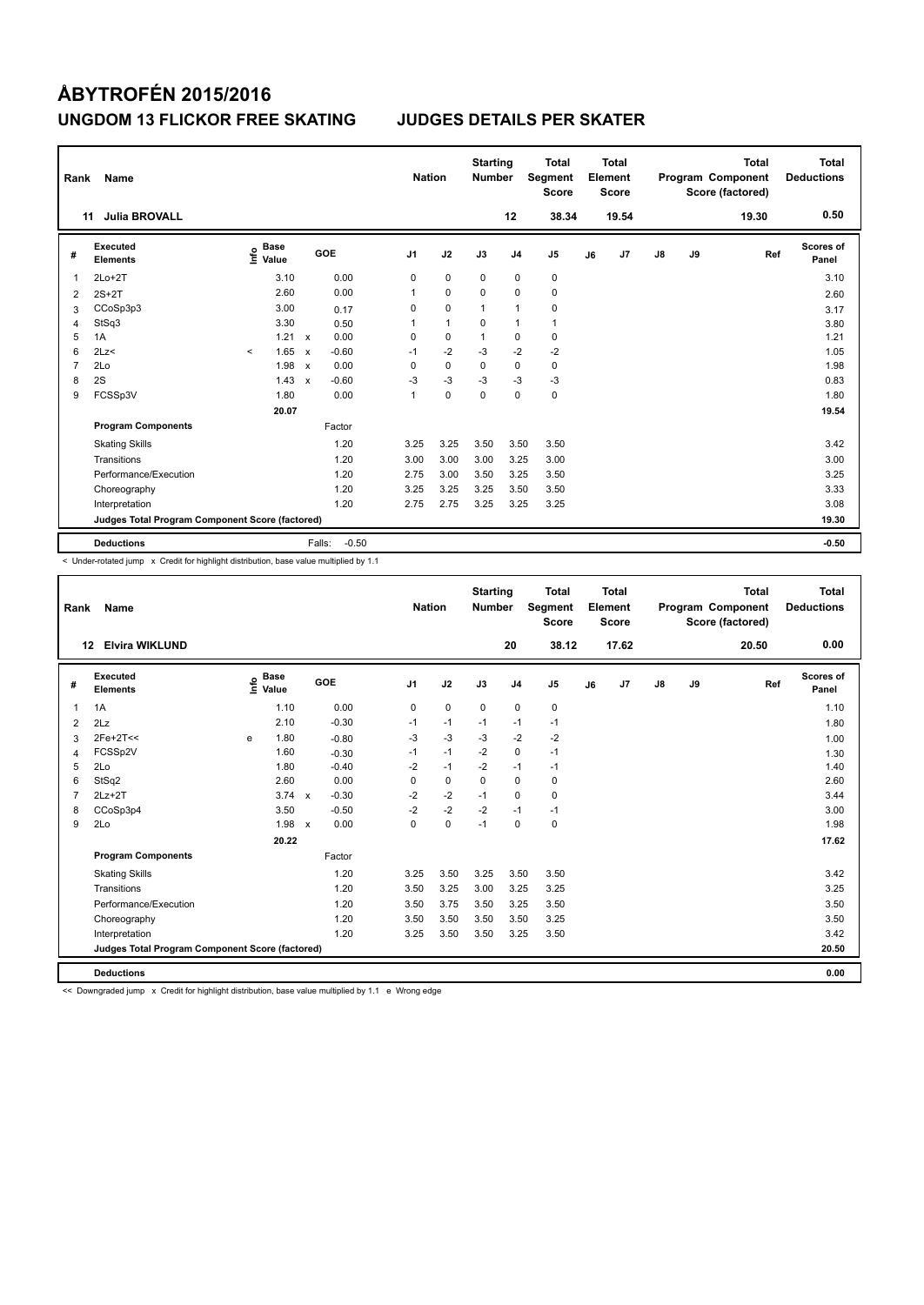| Rank           | Name                                            |                                  |                                      |                | <b>Nation</b> | <b>Starting</b><br><b>Number</b> |                | <b>Total</b><br>Segment<br><b>Score</b> |    | <b>Total</b><br>Element<br><b>Score</b> |    |    | <b>Total</b><br>Program Component<br>Score (factored) | <b>Total</b><br><b>Deductions</b> |
|----------------|-------------------------------------------------|----------------------------------|--------------------------------------|----------------|---------------|----------------------------------|----------------|-----------------------------------------|----|-----------------------------------------|----|----|-------------------------------------------------------|-----------------------------------|
| 11             | <b>Julia BROVALL</b>                            |                                  |                                      |                |               |                                  | 12             | 38.34                                   |    | 19.54                                   |    |    | 19.30                                                 | 0.50                              |
| #              | Executed<br><b>Elements</b>                     | <b>Base</b><br>e Base<br>⊆ Value | GOE                                  | J <sub>1</sub> | J2            | J3                               | J <sub>4</sub> | J <sub>5</sub>                          | J6 | J7                                      | J8 | J9 | Ref                                                   | Scores of<br>Panel                |
| 1              | $2Lo+2T$                                        | 3.10                             | 0.00                                 | 0              | $\mathbf 0$   | $\mathbf 0$                      | $\mathbf 0$    | $\pmb{0}$                               |    |                                         |    |    |                                                       | 3.10                              |
| $\overline{2}$ | $2S+2T$                                         | 2.60                             | 0.00                                 | 1              | $\mathbf 0$   | $\Omega$                         | $\Omega$       | $\mathbf 0$                             |    |                                         |    |    |                                                       | 2.60                              |
| 3              | CCoSp3p3                                        | 3.00                             | 0.17                                 | 0              | $\mathbf 0$   | $\mathbf{1}$                     | $\mathbf{1}$   | 0                                       |    |                                         |    |    |                                                       | 3.17                              |
| 4              | StSq3                                           | 3.30                             | 0.50                                 | 1              | $\mathbf{1}$  | $\Omega$                         | $\mathbf{1}$   | 1                                       |    |                                         |    |    |                                                       | 3.80                              |
| 5              | 1A                                              | 1.21                             | 0.00<br>$\boldsymbol{\mathsf{x}}$    | 0              | $\mathbf 0$   | 1                                | 0              | $\pmb{0}$                               |    |                                         |    |    |                                                       | 1.21                              |
| 6              | 2Lz<                                            | 1.65<br>$\prec$                  | $-0.60$<br>$\boldsymbol{\mathsf{x}}$ | $-1$           | $-2$          | $-3$                             | $-2$           | $-2$                                    |    |                                         |    |    |                                                       | 1.05                              |
| 7              | 2Lo                                             | 1.98                             | 0.00<br>$\boldsymbol{\mathsf{x}}$    | 0              | $\mathbf 0$   | $\Omega$                         | $\mathbf 0$    | 0                                       |    |                                         |    |    |                                                       | 1.98                              |
| 8              | 2S                                              | 1.43                             | $-0.60$<br>$\mathbf{x}$              | $-3$           | $-3$          | $-3$                             | $-3$           | $-3$                                    |    |                                         |    |    |                                                       | 0.83                              |
| 9              | FCSSp3V                                         | 1.80                             | 0.00                                 | 1              | $\mathbf 0$   | $\mathbf 0$                      | $\mathbf 0$    | $\pmb{0}$                               |    |                                         |    |    |                                                       | 1.80                              |
|                |                                                 | 20.07                            |                                      |                |               |                                  |                |                                         |    |                                         |    |    |                                                       | 19.54                             |
|                | <b>Program Components</b>                       |                                  | Factor                               |                |               |                                  |                |                                         |    |                                         |    |    |                                                       |                                   |
|                | <b>Skating Skills</b>                           |                                  | 1.20                                 | 3.25           | 3.25          | 3.50                             | 3.50           | 3.50                                    |    |                                         |    |    |                                                       | 3.42                              |
|                | Transitions                                     |                                  | 1.20                                 | 3.00           | 3.00          | 3.00                             | 3.25           | 3.00                                    |    |                                         |    |    |                                                       | 3.00                              |
|                | Performance/Execution                           |                                  | 1.20                                 | 2.75           | 3.00          | 3.50                             | 3.25           | 3.50                                    |    |                                         |    |    |                                                       | 3.25                              |
|                | Choreography                                    |                                  | 1.20                                 | 3.25           | 3.25          | 3.25                             | 3.50           | 3.50                                    |    |                                         |    |    |                                                       | 3.33                              |
|                | Interpretation                                  |                                  | 1.20                                 | 2.75           | 2.75          | 3.25                             | 3.25           | 3.25                                    |    |                                         |    |    |                                                       | 3.08                              |
|                | Judges Total Program Component Score (factored) |                                  |                                      |                |               |                                  |                |                                         |    |                                         |    |    |                                                       | 19.30                             |
|                | <b>Deductions</b>                               |                                  | Falls:                               | $-0.50$        |               |                                  |                |                                         |    |                                         |    |    |                                                       | $-0.50$                           |

< Under-rotated jump x Credit for highlight distribution, base value multiplied by 1.1

| Rank           | <b>Name</b>                                     |   |                                    |              |         | <b>Nation</b>  |             | <b>Starting</b><br><b>Number</b> |                | <b>Total</b><br>Segment<br><b>Score</b> |    | Total<br>Element<br><b>Score</b> |               |    | <b>Total</b><br>Program Component<br>Score (factored) | <b>Total</b><br><b>Deductions</b> |
|----------------|-------------------------------------------------|---|------------------------------------|--------------|---------|----------------|-------------|----------------------------------|----------------|-----------------------------------------|----|----------------------------------|---------------|----|-------------------------------------------------------|-----------------------------------|
|                | <b>Elvira WIKLUND</b><br>12                     |   |                                    |              |         |                |             |                                  | 20             | 38.12                                   |    | 17.62                            |               |    | 20.50                                                 | 0.00                              |
| #              | Executed<br><b>Elements</b>                     |   | <b>Base</b><br>$\frac{6}{5}$ Value |              | GOE     | J <sub>1</sub> | J2          | J3                               | J <sub>4</sub> | J <sub>5</sub>                          | J6 | J7                               | $\mathsf{J}8$ | J9 | Ref                                                   | <b>Scores of</b><br>Panel         |
| $\overline{1}$ | 1A                                              |   | 1.10                               |              | 0.00    | $\mathbf 0$    | $\mathbf 0$ | $\mathbf 0$                      | $\mathbf 0$    | $\pmb{0}$                               |    |                                  |               |    |                                                       | 1.10                              |
| 2              | 2Lz                                             |   | 2.10                               |              | $-0.30$ | $-1$           | $-1$        | $-1$                             | $-1$           | $-1$                                    |    |                                  |               |    |                                                       | 1.80                              |
| 3              | $2Fe+2T<<$                                      | e | 1.80                               |              | $-0.80$ | $-3$           | $-3$        | $-3$                             | $-2$           | $-2$                                    |    |                                  |               |    |                                                       | 1.00                              |
| 4              | FCSSp2V                                         |   | 1.60                               |              | $-0.30$ | $-1$           | $-1$        | $-2$                             | $\Omega$       | $-1$                                    |    |                                  |               |    |                                                       | 1.30                              |
| 5              | 2Lo                                             |   | 1.80                               |              | $-0.40$ | $-2$           | $-1$        | $-2$                             | $-1$           | $-1$                                    |    |                                  |               |    |                                                       | 1.40                              |
| 6              | StSq2                                           |   | 2.60                               |              | 0.00    | $\Omega$       | $\mathbf 0$ | $\Omega$                         | $\mathbf 0$    | 0                                       |    |                                  |               |    |                                                       | 2.60                              |
| $\overline{7}$ | $2Lz+2T$                                        |   | 3.74                               | $\mathsf{x}$ | $-0.30$ | $-2$           | $-2$        | $-1$                             | $\mathbf 0$    | $\mathbf 0$                             |    |                                  |               |    |                                                       | 3.44                              |
| 8              | CCoSp3p4                                        |   | 3.50                               |              | $-0.50$ | $-2$           | $-2$        | $-2$                             | $-1$           | $-1$                                    |    |                                  |               |    |                                                       | 3.00                              |
| 9              | 2Lo                                             |   | 1.98 x                             |              | 0.00    | $\Omega$       | $\mathbf 0$ | $-1$                             | $\mathbf 0$    | $\mathbf 0$                             |    |                                  |               |    |                                                       | 1.98                              |
|                |                                                 |   | 20.22                              |              |         |                |             |                                  |                |                                         |    |                                  |               |    |                                                       | 17.62                             |
|                | <b>Program Components</b>                       |   |                                    |              | Factor  |                |             |                                  |                |                                         |    |                                  |               |    |                                                       |                                   |
|                | <b>Skating Skills</b>                           |   |                                    |              | 1.20    | 3.25           | 3.50        | 3.25                             | 3.50           | 3.50                                    |    |                                  |               |    |                                                       | 3.42                              |
|                | Transitions                                     |   |                                    |              | 1.20    | 3.50           | 3.25        | 3.00                             | 3.25           | 3.25                                    |    |                                  |               |    |                                                       | 3.25                              |
|                | Performance/Execution                           |   |                                    |              | 1.20    | 3.50           | 3.75        | 3.50                             | 3.25           | 3.50                                    |    |                                  |               |    |                                                       | 3.50                              |
|                | Choreography                                    |   |                                    |              | 1.20    | 3.50           | 3.50        | 3.50                             | 3.50           | 3.25                                    |    |                                  |               |    |                                                       | 3.50                              |
|                | Interpretation                                  |   |                                    |              | 1.20    | 3.25           | 3.50        | 3.50                             | 3.25           | 3.50                                    |    |                                  |               |    |                                                       | 3.42                              |
|                | Judges Total Program Component Score (factored) |   |                                    |              |         |                |             |                                  |                |                                         |    |                                  |               |    |                                                       | 20.50                             |
|                | <b>Deductions</b>                               |   |                                    |              |         |                |             |                                  |                |                                         |    |                                  |               |    |                                                       | 0.00                              |

<< Downgraded jump x Credit for highlight distribution, base value multiplied by 1.1 e Wrong edge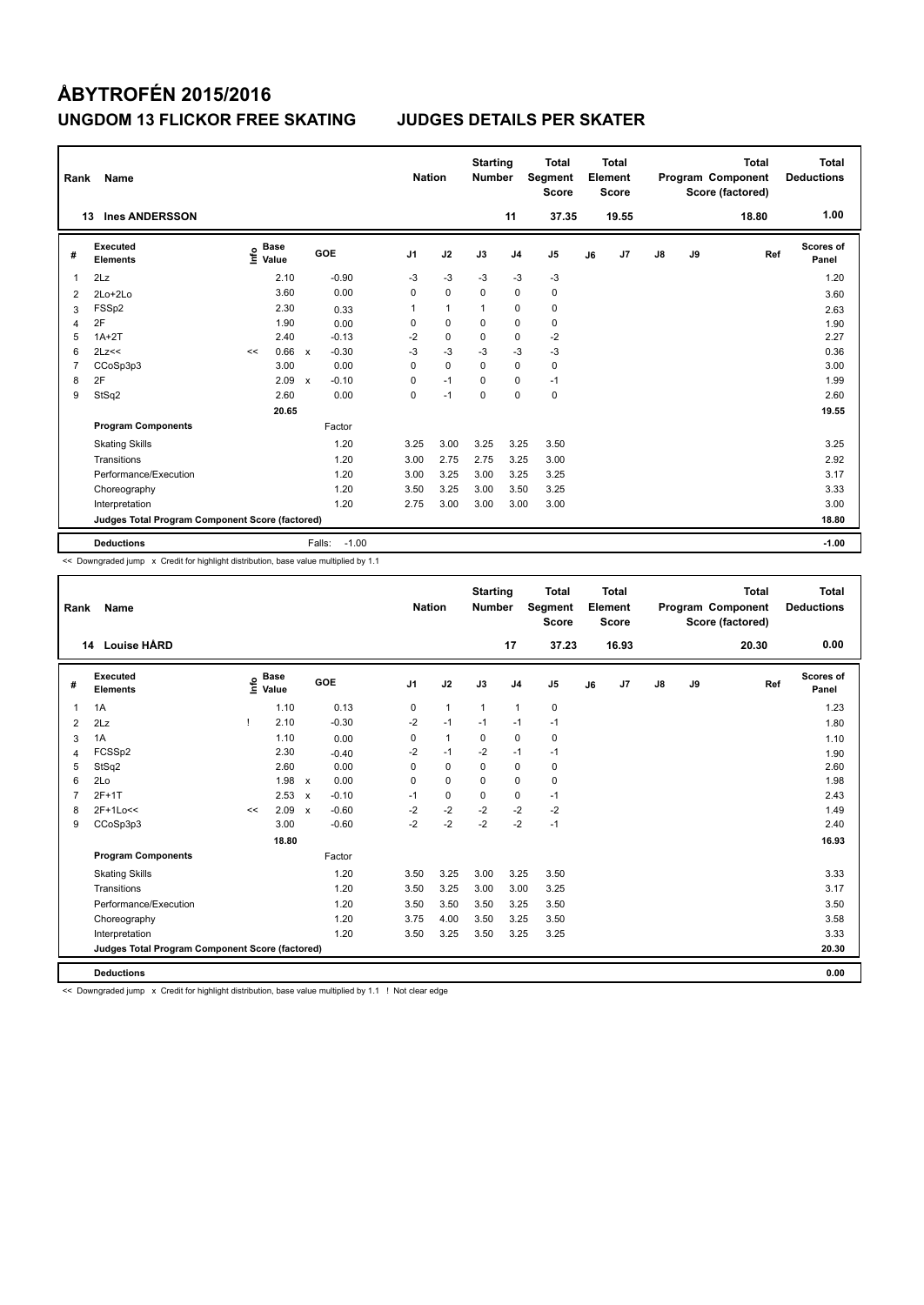| Rank           | Name                                            |    |                                  |                           |         | <b>Nation</b>  |              | <b>Starting</b><br><b>Number</b> |                | <b>Total</b><br>Segment<br><b>Score</b> |    | <b>Total</b><br>Element<br>Score |    |    | <b>Total</b><br>Program Component<br>Score (factored) | <b>Total</b><br><b>Deductions</b> |
|----------------|-------------------------------------------------|----|----------------------------------|---------------------------|---------|----------------|--------------|----------------------------------|----------------|-----------------------------------------|----|----------------------------------|----|----|-------------------------------------------------------|-----------------------------------|
|                | <b>Ines ANDERSSON</b><br>13                     |    |                                  |                           |         |                |              |                                  | 11             | 37.35                                   |    | 19.55                            |    |    | 18.80                                                 | 1.00                              |
| #              | Executed<br><b>Elements</b>                     |    | <b>Base</b><br>e Base<br>E Value |                           | GOE     | J <sub>1</sub> | J2           | J3                               | J <sub>4</sub> | J <sub>5</sub>                          | J6 | J7                               | J8 | J9 | Ref                                                   | <b>Scores of</b><br>Panel         |
| 1              | 2Lz                                             |    | 2.10                             |                           | $-0.90$ | -3             | $-3$         | -3                               | -3             | $-3$                                    |    |                                  |    |    |                                                       | 1.20                              |
| 2              | $2Lo+2Lo$                                       |    | 3.60                             |                           | 0.00    | 0              | $\mathbf 0$  | $\mathbf 0$                      | $\mathbf 0$    | 0                                       |    |                                  |    |    |                                                       | 3.60                              |
| 3              | FSSp2                                           |    | 2.30                             |                           | 0.33    | 1              | $\mathbf{1}$ | $\overline{1}$                   | 0              | 0                                       |    |                                  |    |    |                                                       | 2.63                              |
| 4              | 2F                                              |    | 1.90                             |                           | 0.00    | 0              | 0            | 0                                | $\mathbf 0$    | 0                                       |    |                                  |    |    |                                                       | 1.90                              |
| 5              | $1A+2T$                                         |    | 2.40                             |                           | $-0.13$ | $-2$           | $\mathbf 0$  | $\mathbf 0$                      | $\mathbf 0$    | $-2$                                    |    |                                  |    |    |                                                       | 2.27                              |
| 6              | 2Lz<<                                           | << | 0.66                             | $\boldsymbol{\mathsf{x}}$ | $-0.30$ | $-3$           | $-3$         | $-3$                             | $-3$           | $-3$                                    |    |                                  |    |    |                                                       | 0.36                              |
| $\overline{7}$ | CCoSp3p3                                        |    | 3.00                             |                           | 0.00    | 0              | $\mathbf 0$  | $\Omega$                         | $\mathbf 0$    | $\mathbf 0$                             |    |                                  |    |    |                                                       | 3.00                              |
| 8              | 2F                                              |    | 2.09                             | $\mathbf x$               | $-0.10$ | 0              | $-1$         | $\mathbf 0$                      | $\mathbf 0$    | $-1$                                    |    |                                  |    |    |                                                       | 1.99                              |
| 9              | StSq2                                           |    | 2.60                             |                           | 0.00    | 0              | $-1$         | $\mathbf 0$                      | $\mathbf 0$    | 0                                       |    |                                  |    |    |                                                       | 2.60                              |
|                |                                                 |    | 20.65                            |                           |         |                |              |                                  |                |                                         |    |                                  |    |    |                                                       | 19.55                             |
|                | <b>Program Components</b>                       |    |                                  |                           | Factor  |                |              |                                  |                |                                         |    |                                  |    |    |                                                       |                                   |
|                | <b>Skating Skills</b>                           |    |                                  |                           | 1.20    | 3.25           | 3.00         | 3.25                             | 3.25           | 3.50                                    |    |                                  |    |    |                                                       | 3.25                              |
|                | Transitions                                     |    |                                  |                           | 1.20    | 3.00           | 2.75         | 2.75                             | 3.25           | 3.00                                    |    |                                  |    |    |                                                       | 2.92                              |
|                | Performance/Execution                           |    |                                  |                           | 1.20    | 3.00           | 3.25         | 3.00                             | 3.25           | 3.25                                    |    |                                  |    |    |                                                       | 3.17                              |
|                | Choreography                                    |    |                                  |                           | 1.20    | 3.50           | 3.25         | 3.00                             | 3.50           | 3.25                                    |    |                                  |    |    |                                                       | 3.33                              |
|                | Interpretation                                  |    |                                  |                           | 1.20    | 2.75           | 3.00         | 3.00                             | 3.00           | 3.00                                    |    |                                  |    |    |                                                       | 3.00                              |
|                | Judges Total Program Component Score (factored) |    |                                  |                           |         |                |              |                                  |                |                                         |    |                                  |    |    |                                                       | 18.80                             |
|                | <b>Deductions</b>                               |    |                                  | Falls:                    | $-1.00$ |                |              |                                  |                |                                         |    |                                  |    |    |                                                       | $-1.00$                           |

<< Downgraded jump x Credit for highlight distribution, base value multiplied by 1.1

| Rank           | <b>Name</b>                                     |    |                                    |                           |         | <b>Nation</b>  |              | <b>Starting</b><br><b>Number</b> |                | <b>Total</b><br>Segment<br><b>Score</b> |    | <b>Total</b><br>Element<br><b>Score</b> |               |    | <b>Total</b><br>Program Component<br>Score (factored) | <b>Total</b><br><b>Deductions</b> |
|----------------|-------------------------------------------------|----|------------------------------------|---------------------------|---------|----------------|--------------|----------------------------------|----------------|-----------------------------------------|----|-----------------------------------------|---------------|----|-------------------------------------------------------|-----------------------------------|
|                | <b>Louise HÅRD</b><br>14                        |    |                                    |                           |         |                |              |                                  | 17             | 37.23                                   |    | 16.93                                   |               |    | 20.30                                                 | 0.00                              |
| #              | <b>Executed</b><br><b>Elements</b>              |    | <b>Base</b><br>$\frac{6}{5}$ Value |                           | GOE     | J <sub>1</sub> | J2           | J3                               | J <sub>4</sub> | J <sub>5</sub>                          | J6 | J7                                      | $\mathsf{J}8$ | J9 | Ref                                                   | <b>Scores of</b><br>Panel         |
| $\overline{1}$ | 1A                                              |    | 1.10                               |                           | 0.13    | $\mathbf 0$    | $\mathbf{1}$ | $\mathbf{1}$                     | $\mathbf{1}$   | $\pmb{0}$                               |    |                                         |               |    |                                                       | 1.23                              |
| 2              | 2Lz                                             |    | 2.10                               |                           | $-0.30$ | $-2$           | $-1$         | $-1$                             | $-1$           | $-1$                                    |    |                                         |               |    |                                                       | 1.80                              |
| 3              | 1A                                              |    | 1.10                               |                           | 0.00    | 0              | $\mathbf{1}$ | 0                                | $\mathbf 0$    | $\mathbf 0$                             |    |                                         |               |    |                                                       | 1.10                              |
| 4              | FCSSp2                                          |    | 2.30                               |                           | $-0.40$ | $-2$           | $-1$         | $-2$                             | $-1$           | $-1$                                    |    |                                         |               |    |                                                       | 1.90                              |
| 5              | StSq2                                           |    | 2.60                               |                           | 0.00    | $\Omega$       | 0            | 0                                | 0              | 0                                       |    |                                         |               |    |                                                       | 2.60                              |
| 6              | 2Lo                                             |    | $1.98 \times$                      |                           | 0.00    | $\Omega$       | $\mathbf 0$  | $\Omega$                         | $\mathbf 0$    | 0                                       |    |                                         |               |    |                                                       | 1.98                              |
| $\overline{7}$ | $2F+1T$                                         |    | 2.53                               | $\boldsymbol{\mathsf{x}}$ | $-0.10$ | $-1$           | $\mathbf 0$  | $\mathbf 0$                      | $\mathbf 0$    | $-1$                                    |    |                                         |               |    |                                                       | 2.43                              |
| 8              | 2F+1Lo<<                                        | << | 2.09                               | $\boldsymbol{\mathsf{x}}$ | $-0.60$ | $-2$           | $-2$         | $-2$                             | $-2$           | $-2$                                    |    |                                         |               |    |                                                       | 1.49                              |
| 9              | CCoSp3p3                                        |    | 3.00                               |                           | $-0.60$ | $-2$           | $-2$         | $-2$                             | $-2$           | $-1$                                    |    |                                         |               |    |                                                       | 2.40                              |
|                |                                                 |    | 18.80                              |                           |         |                |              |                                  |                |                                         |    |                                         |               |    |                                                       | 16.93                             |
|                | <b>Program Components</b>                       |    |                                    |                           | Factor  |                |              |                                  |                |                                         |    |                                         |               |    |                                                       |                                   |
|                | <b>Skating Skills</b>                           |    |                                    |                           | 1.20    | 3.50           | 3.25         | 3.00                             | 3.25           | 3.50                                    |    |                                         |               |    |                                                       | 3.33                              |
|                | Transitions                                     |    |                                    |                           | 1.20    | 3.50           | 3.25         | 3.00                             | 3.00           | 3.25                                    |    |                                         |               |    |                                                       | 3.17                              |
|                | Performance/Execution                           |    |                                    |                           | 1.20    | 3.50           | 3.50         | 3.50                             | 3.25           | 3.50                                    |    |                                         |               |    |                                                       | 3.50                              |
|                | Choreography                                    |    |                                    |                           | 1.20    | 3.75           | 4.00         | 3.50                             | 3.25           | 3.50                                    |    |                                         |               |    |                                                       | 3.58                              |
|                | Interpretation                                  |    |                                    |                           | 1.20    | 3.50           | 3.25         | 3.50                             | 3.25           | 3.25                                    |    |                                         |               |    |                                                       | 3.33                              |
|                | Judges Total Program Component Score (factored) |    |                                    |                           |         |                |              |                                  |                |                                         |    |                                         |               |    |                                                       | 20.30                             |
|                | <b>Deductions</b>                               |    |                                    |                           |         |                |              |                                  |                |                                         |    |                                         |               |    |                                                       | 0.00                              |

<< Downgraded jump x Credit for highlight distribution, base value multiplied by 1.1 ! Not clear edge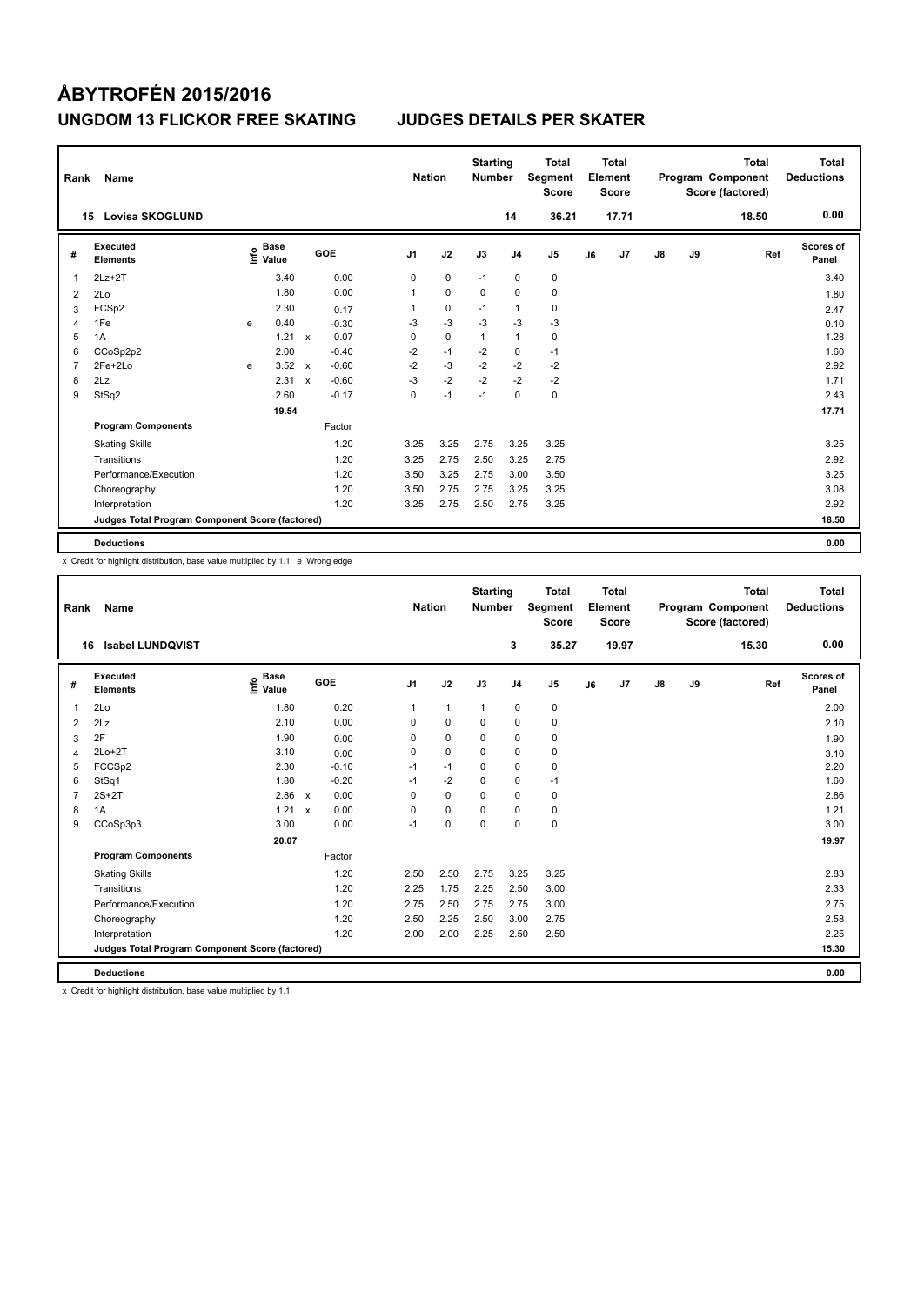| Rank           | Name                                            |   |                                  |                           |         |                | <b>Nation</b> | <b>Starting</b><br><b>Number</b> |                | <b>Total</b><br>Segment<br><b>Score</b> |    | <b>Total</b><br>Element<br><b>Score</b> |               |    | <b>Total</b><br>Program Component<br>Score (factored) | <b>Total</b><br><b>Deductions</b> |
|----------------|-------------------------------------------------|---|----------------------------------|---------------------------|---------|----------------|---------------|----------------------------------|----------------|-----------------------------------------|----|-----------------------------------------|---------------|----|-------------------------------------------------------|-----------------------------------|
|                | <b>Lovisa SKOGLUND</b><br>15                    |   |                                  |                           |         |                |               |                                  | 14             | 36.21                                   |    | 17.71                                   |               |    | 18.50                                                 | 0.00                              |
| #              | <b>Executed</b><br><b>Elements</b>              |   | <b>Base</b><br>e Base<br>⊆ Value |                           | GOE     | J <sub>1</sub> | J2            | J3                               | J <sub>4</sub> | J <sub>5</sub>                          | J6 | J7                                      | $\mathsf{J}8$ | J9 | Ref                                                   | <b>Scores of</b><br>Panel         |
| 1              | $2Lz+2T$                                        |   | 3.40                             |                           | 0.00    | 0              | $\mathbf 0$   | $-1$                             | $\pmb{0}$      | $\pmb{0}$                               |    |                                         |               |    |                                                       | 3.40                              |
| 2              | 2Lo                                             |   | 1.80                             |                           | 0.00    | 1              | $\mathbf 0$   | $\mathbf 0$                      | $\mathbf 0$    | $\pmb{0}$                               |    |                                         |               |    |                                                       | 1.80                              |
| 3              | FCSp2                                           |   | 2.30                             |                           | 0.17    | 1              | 0             | $-1$                             | $\mathbf{1}$   | 0                                       |    |                                         |               |    |                                                       | 2.47                              |
| 4              | 1Fe                                             | e | 0.40                             |                           | $-0.30$ | $-3$           | $-3$          | $-3$                             | $-3$           | $-3$                                    |    |                                         |               |    |                                                       | 0.10                              |
| 5              | 1A                                              |   | 1.21                             | $\boldsymbol{\mathsf{x}}$ | 0.07    | 0              | $\pmb{0}$     | $\overline{1}$                   | $\overline{1}$ | 0                                       |    |                                         |               |    |                                                       | 1.28                              |
| 6              | CCoSp2p2                                        |   | 2.00                             |                           | $-0.40$ | $-2$           | $-1$          | $-2$                             | $\mathbf 0$    | $-1$                                    |    |                                         |               |    |                                                       | 1.60                              |
| $\overline{7}$ | 2Fe+2Lo                                         | e | 3.52                             | $\mathsf{x}$              | $-0.60$ | $-2$           | $-3$          | $-2$                             | $-2$           | $-2$                                    |    |                                         |               |    |                                                       | 2.92                              |
| 8              | 2Lz                                             |   | 2.31                             | $\boldsymbol{\mathsf{x}}$ | $-0.60$ | $-3$           | $-2$          | $-2$                             | $-2$           | $-2$                                    |    |                                         |               |    |                                                       | 1.71                              |
| 9              | StSq2                                           |   | 2.60                             |                           | $-0.17$ | 0              | $-1$          | $-1$                             | 0              | 0                                       |    |                                         |               |    |                                                       | 2.43                              |
|                |                                                 |   | 19.54                            |                           |         |                |               |                                  |                |                                         |    |                                         |               |    |                                                       | 17.71                             |
|                | <b>Program Components</b>                       |   |                                  |                           | Factor  |                |               |                                  |                |                                         |    |                                         |               |    |                                                       |                                   |
|                | <b>Skating Skills</b>                           |   |                                  |                           | 1.20    | 3.25           | 3.25          | 2.75                             | 3.25           | 3.25                                    |    |                                         |               |    |                                                       | 3.25                              |
|                | Transitions                                     |   |                                  |                           | 1.20    | 3.25           | 2.75          | 2.50                             | 3.25           | 2.75                                    |    |                                         |               |    |                                                       | 2.92                              |
|                | Performance/Execution                           |   |                                  |                           | 1.20    | 3.50           | 3.25          | 2.75                             | 3.00           | 3.50                                    |    |                                         |               |    |                                                       | 3.25                              |
|                | Choreography                                    |   |                                  |                           | 1.20    | 3.50           | 2.75          | 2.75                             | 3.25           | 3.25                                    |    |                                         |               |    |                                                       | 3.08                              |
|                | Interpretation                                  |   |                                  |                           | 1.20    | 3.25           | 2.75          | 2.50                             | 2.75           | 3.25                                    |    |                                         |               |    |                                                       | 2.92                              |
|                | Judges Total Program Component Score (factored) |   |                                  |                           |         |                |               |                                  |                |                                         |    |                                         |               |    |                                                       | 18.50                             |
|                | <b>Deductions</b>                               |   |                                  |                           |         |                |               |                                  |                |                                         |    |                                         |               |    |                                                       | 0.00                              |

x Credit for highlight distribution, base value multiplied by 1.1 e Wrong edge

| Rank           | Name                                            |                                  |                           |         | <b>Nation</b>  |              | <b>Starting</b><br><b>Number</b> |                | <b>Total</b><br>Segment<br><b>Score</b> |    | <b>Total</b><br>Element<br><b>Score</b> |               |    | <b>Total</b><br>Program Component<br>Score (factored) | <b>Total</b><br><b>Deductions</b> |
|----------------|-------------------------------------------------|----------------------------------|---------------------------|---------|----------------|--------------|----------------------------------|----------------|-----------------------------------------|----|-----------------------------------------|---------------|----|-------------------------------------------------------|-----------------------------------|
|                | <b>Isabel LUNDQVIST</b><br>16                   |                                  |                           |         |                |              |                                  | 3              | 35.27                                   |    | 19.97                                   |               |    | 15.30                                                 | 0.00                              |
| #              | Executed<br><b>Elements</b>                     | <b>Base</b><br>e Base<br>⊆ Value | GOE                       |         | J <sub>1</sub> | J2           | J3                               | J <sub>4</sub> | J <sub>5</sub>                          | J6 | J7                                      | $\mathsf{J}8$ | J9 | Ref                                                   | Scores of<br>Panel                |
| $\overline{1}$ | 2Lo                                             | 1.80                             |                           | 0.20    | $\mathbf{1}$   | $\mathbf{1}$ | $\mathbf{1}$                     | $\pmb{0}$      | 0                                       |    |                                         |               |    |                                                       | 2.00                              |
| 2              | 2Lz                                             | 2.10                             |                           | 0.00    | 0              | $\mathbf 0$  | $\mathbf 0$                      | $\mathbf 0$    | 0                                       |    |                                         |               |    |                                                       | 2.10                              |
| 3              | 2F                                              | 1.90                             |                           | 0.00    | 0              | $\mathbf 0$  | 0                                | 0              | 0                                       |    |                                         |               |    |                                                       | 1.90                              |
| 4              | $2Lo+2T$                                        | 3.10                             |                           | 0.00    | 0              | $\mathbf 0$  | $\Omega$                         | $\mathbf 0$    | $\mathbf 0$                             |    |                                         |               |    |                                                       | 3.10                              |
| 5              | FCCSp2                                          | 2.30                             |                           | $-0.10$ | $-1$           | $-1$         | 0                                | $\mathbf 0$    | 0                                       |    |                                         |               |    |                                                       | 2.20                              |
| 6              | StSq1                                           | 1.80                             |                           | $-0.20$ | $-1$           | $-2$         | 0                                | $\mathbf 0$    | $-1$                                    |    |                                         |               |    |                                                       | 1.60                              |
| $\overline{7}$ | $2S+2T$                                         | 2.86                             | $\mathsf{x}$              | 0.00    | 0              | $\mathbf 0$  | $\mathbf 0$                      | $\mathbf 0$    | 0                                       |    |                                         |               |    |                                                       | 2.86                              |
| 8              | 1A                                              | 1.21                             | $\boldsymbol{\mathsf{x}}$ | 0.00    | $\Omega$       | $\mathbf 0$  | $\Omega$                         | $\mathbf 0$    | 0                                       |    |                                         |               |    |                                                       | 1.21                              |
| 9              | CCoSp3p3                                        | 3.00                             |                           | 0.00    | $-1$           | $\mathbf 0$  | $\Omega$                         | $\Omega$       | 0                                       |    |                                         |               |    |                                                       | 3.00                              |
|                |                                                 | 20.07                            |                           |         |                |              |                                  |                |                                         |    |                                         |               |    |                                                       | 19.97                             |
|                | <b>Program Components</b>                       |                                  |                           | Factor  |                |              |                                  |                |                                         |    |                                         |               |    |                                                       |                                   |
|                | <b>Skating Skills</b>                           |                                  |                           | 1.20    | 2.50           | 2.50         | 2.75                             | 3.25           | 3.25                                    |    |                                         |               |    |                                                       | 2.83                              |
|                | Transitions                                     |                                  |                           | 1.20    | 2.25           | 1.75         | 2.25                             | 2.50           | 3.00                                    |    |                                         |               |    |                                                       | 2.33                              |
|                | Performance/Execution                           |                                  |                           | 1.20    | 2.75           | 2.50         | 2.75                             | 2.75           | 3.00                                    |    |                                         |               |    |                                                       | 2.75                              |
|                | Choreography                                    |                                  |                           | 1.20    | 2.50           | 2.25         | 2.50                             | 3.00           | 2.75                                    |    |                                         |               |    |                                                       | 2.58                              |
|                | Interpretation                                  |                                  |                           | 1.20    | 2.00           | 2.00         | 2.25                             | 2.50           | 2.50                                    |    |                                         |               |    |                                                       | 2.25                              |
|                | Judges Total Program Component Score (factored) |                                  |                           |         |                |              |                                  |                |                                         |    |                                         |               |    |                                                       | 15.30                             |
|                | <b>Deductions</b>                               |                                  |                           |         |                |              |                                  |                |                                         |    |                                         |               |    |                                                       | 0.00                              |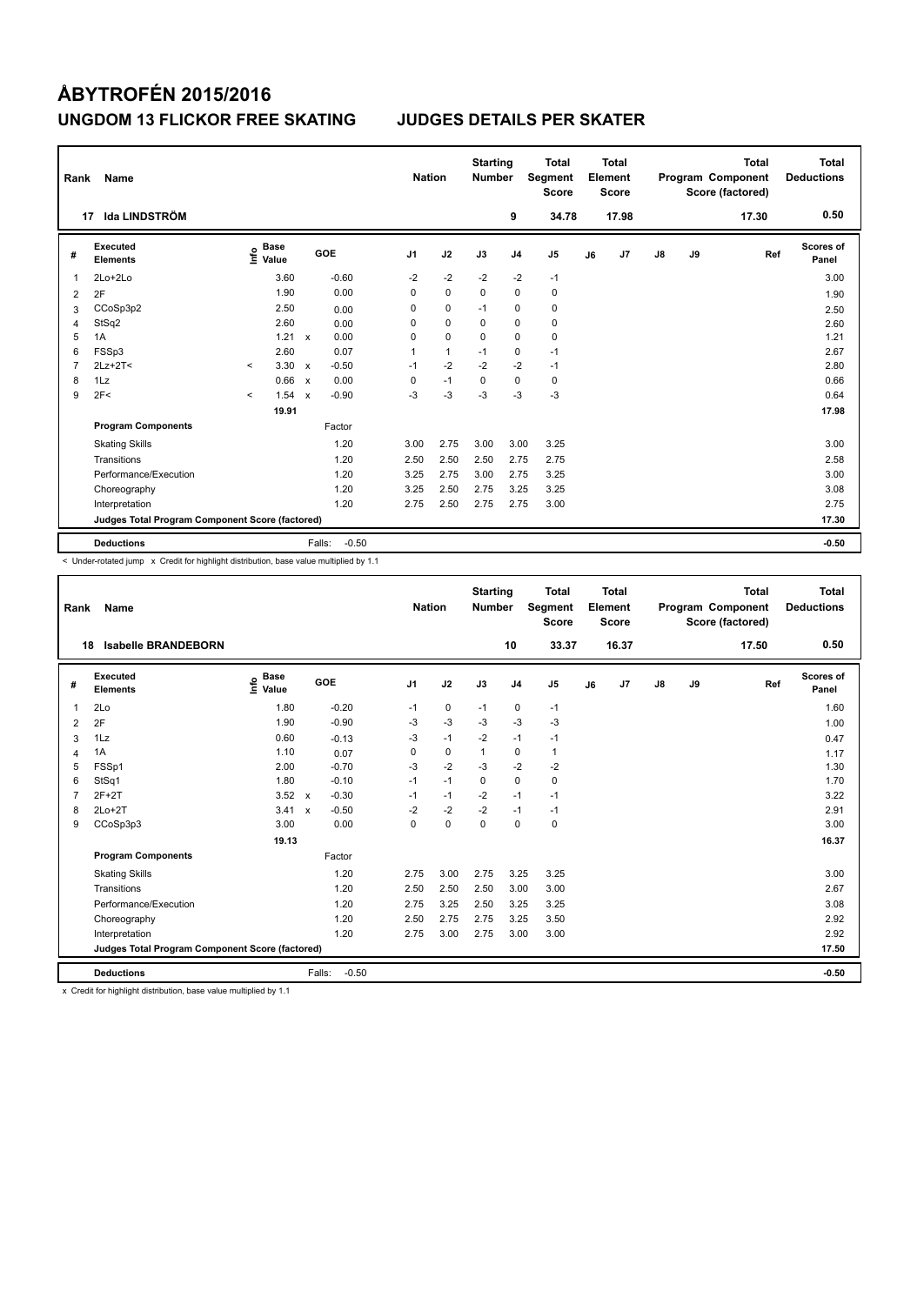| Rank           | Name                                            |              |                                  |                           |                   | <b>Nation</b>  |              | <b>Starting</b><br><b>Number</b> |                | <b>Total</b><br>Segment<br><b>Score</b> |    | Total<br>Element<br><b>Score</b> |               |    | <b>Total</b><br>Program Component<br>Score (factored) | Total<br><b>Deductions</b> |
|----------------|-------------------------------------------------|--------------|----------------------------------|---------------------------|-------------------|----------------|--------------|----------------------------------|----------------|-----------------------------------------|----|----------------------------------|---------------|----|-------------------------------------------------------|----------------------------|
| 17             | Ida LINDSTRÖM                                   |              |                                  |                           |                   |                |              |                                  | 9              | 34.78                                   |    | 17.98                            |               |    | 17.30                                                 | 0.50                       |
| #              | <b>Executed</b><br><b>Elements</b>              |              | <b>Base</b><br>e Base<br>⊆ Value |                           | GOE               | J <sub>1</sub> | J2           | J3                               | J <sub>4</sub> | J <sub>5</sub>                          | J6 | J7                               | $\mathsf{J}8$ | J9 | Ref                                                   | Scores of<br>Panel         |
| 1              | 2Lo+2Lo                                         |              | 3.60                             |                           | $-0.60$           | $-2$           | $-2$         | $-2$                             | $-2$           | $-1$                                    |    |                                  |               |    |                                                       | 3.00                       |
| $\overline{2}$ | 2F                                              |              | 1.90                             |                           | 0.00              | 0              | $\mathbf 0$  | $\mathbf 0$                      | $\mathbf 0$    | $\pmb{0}$                               |    |                                  |               |    |                                                       | 1.90                       |
| 3              | CCoSp3p2                                        |              | 2.50                             |                           | 0.00              | 0              | $\mathbf 0$  | $-1$                             | 0              | $\pmb{0}$                               |    |                                  |               |    |                                                       | 2.50                       |
| 4              | StSq2                                           |              | 2.60                             |                           | 0.00              | 0              | 0            | $\Omega$                         | 0              | $\pmb{0}$                               |    |                                  |               |    |                                                       | 2.60                       |
| 5              | 1A                                              |              | 1.21                             | $\mathsf{x}$              | 0.00              | 0              | $\mathbf 0$  | 0                                | $\mathbf 0$    | $\pmb{0}$                               |    |                                  |               |    |                                                       | 1.21                       |
| 6              | FSSp3                                           |              | 2.60                             |                           | 0.07              | 1              | $\mathbf{1}$ | $-1$                             | $\mathbf 0$    | $-1$                                    |    |                                  |               |    |                                                       | 2.67                       |
| 7              | $2Lz+2T<$                                       | $\checkmark$ | 3.30                             | $\mathsf{x}$              | $-0.50$           | $-1$           | $-2$         | $-2$                             | $-2$           | $-1$                                    |    |                                  |               |    |                                                       | 2.80                       |
| 8              | 1Lz                                             |              | 0.66                             | $\boldsymbol{\mathsf{x}}$ | 0.00              | 0              | $-1$         | 0                                | 0              | $\pmb{0}$                               |    |                                  |               |    |                                                       | 0.66                       |
| 9              | 2F<                                             | $\prec$      | 1.54                             | $\mathbf x$               | $-0.90$           | $-3$           | $-3$         | $-3$                             | $-3$           | $-3$                                    |    |                                  |               |    |                                                       | 0.64                       |
|                |                                                 |              | 19.91                            |                           |                   |                |              |                                  |                |                                         |    |                                  |               |    |                                                       | 17.98                      |
|                | <b>Program Components</b>                       |              |                                  |                           | Factor            |                |              |                                  |                |                                         |    |                                  |               |    |                                                       |                            |
|                | <b>Skating Skills</b>                           |              |                                  |                           | 1.20              | 3.00           | 2.75         | 3.00                             | 3.00           | 3.25                                    |    |                                  |               |    |                                                       | 3.00                       |
|                | Transitions                                     |              |                                  |                           | 1.20              | 2.50           | 2.50         | 2.50                             | 2.75           | 2.75                                    |    |                                  |               |    |                                                       | 2.58                       |
|                | Performance/Execution                           |              |                                  |                           | 1.20              | 3.25           | 2.75         | 3.00                             | 2.75           | 3.25                                    |    |                                  |               |    |                                                       | 3.00                       |
|                | Choreography                                    |              |                                  |                           | 1.20              | 3.25           | 2.50         | 2.75                             | 3.25           | 3.25                                    |    |                                  |               |    |                                                       | 3.08                       |
|                | Interpretation                                  |              |                                  |                           | 1.20              | 2.75           | 2.50         | 2.75                             | 2.75           | 3.00                                    |    |                                  |               |    |                                                       | 2.75                       |
|                | Judges Total Program Component Score (factored) |              |                                  |                           |                   |                |              |                                  |                |                                         |    |                                  |               |    |                                                       | 17.30                      |
|                | <b>Deductions</b>                               |              |                                  |                           | $-0.50$<br>Falls: |                |              |                                  |                |                                         |    |                                  |               |    |                                                       | $-0.50$                    |

< Under-rotated jump x Credit for highlight distribution, base value multiplied by 1.1

| Rank           | Name                                            |                              |                           |         | <b>Nation</b>  |             | <b>Starting</b><br><b>Number</b> |                | <b>Total</b><br>Segment<br><b>Score</b> |    | <b>Total</b><br>Element<br><b>Score</b> |    |    | <b>Total</b><br>Program Component<br>Score (factored) | <b>Total</b><br><b>Deductions</b> |
|----------------|-------------------------------------------------|------------------------------|---------------------------|---------|----------------|-------------|----------------------------------|----------------|-----------------------------------------|----|-----------------------------------------|----|----|-------------------------------------------------------|-----------------------------------|
| 18             | <b>Isabelle BRANDEBORN</b>                      |                              |                           |         |                |             |                                  | 10             | 33.37                                   |    | 16.37                                   |    |    | 17.50                                                 | 0.50                              |
| #              | Executed<br><b>Elements</b>                     | <b>Base</b><br>lnfo<br>Value |                           | GOE     | J <sub>1</sub> | J2          | J3                               | J <sub>4</sub> | J <sub>5</sub>                          | J6 | J7                                      | J8 | J9 | Ref                                                   | <b>Scores of</b><br>Panel         |
| 1              | 2Lo                                             | 1.80                         |                           | $-0.20$ | $-1$           | $\mathbf 0$ | $-1$                             | 0              | $-1$                                    |    |                                         |    |    |                                                       | 1.60                              |
| $\overline{2}$ | 2F                                              | 1.90                         |                           | $-0.90$ | -3             | $-3$        | $-3$                             | $-3$           | $-3$                                    |    |                                         |    |    |                                                       | 1.00                              |
| 3              | 1Lz                                             | 0.60                         |                           | $-0.13$ | -3             | $-1$        | $-2$                             | $-1$           | $-1$                                    |    |                                         |    |    |                                                       | 0.47                              |
| 4              | 1A                                              | 1.10                         |                           | 0.07    | 0              | $\pmb{0}$   | $\mathbf{1}$                     | 0              | $\mathbf{1}$                            |    |                                         |    |    |                                                       | 1.17                              |
| 5              | FSSp1                                           | 2.00                         |                           | $-0.70$ | $-3$           | $-2$        | $-3$                             | $-2$           | $-2$                                    |    |                                         |    |    |                                                       | 1.30                              |
| 6              | StSq1                                           | 1.80                         |                           | $-0.10$ | $-1$           | $-1$        | $\Omega$                         | 0              | $\mathbf 0$                             |    |                                         |    |    |                                                       | 1.70                              |
| $\overline{7}$ | $2F+2T$                                         | 3.52                         | $\mathsf{x}$              | $-0.30$ | $-1$           | $-1$        | $-2$                             | $-1$           | $-1$                                    |    |                                         |    |    |                                                       | 3.22                              |
| 8              | $2Lo+2T$                                        | 3.41                         | $\boldsymbol{\mathsf{x}}$ | $-0.50$ | $-2$           | $-2$        | $-2$                             | $-1$           | $-1$                                    |    |                                         |    |    |                                                       | 2.91                              |
| 9              | CCoSp3p3                                        | 3.00                         |                           | 0.00    | $\Omega$       | $\mathbf 0$ | $\Omega$                         | $\Omega$       | $\mathbf 0$                             |    |                                         |    |    |                                                       | 3.00                              |
|                |                                                 | 19.13                        |                           |         |                |             |                                  |                |                                         |    |                                         |    |    |                                                       | 16.37                             |
|                | <b>Program Components</b>                       |                              |                           | Factor  |                |             |                                  |                |                                         |    |                                         |    |    |                                                       |                                   |
|                | <b>Skating Skills</b>                           |                              |                           | 1.20    | 2.75           | 3.00        | 2.75                             | 3.25           | 3.25                                    |    |                                         |    |    |                                                       | 3.00                              |
|                | Transitions                                     |                              |                           | 1.20    | 2.50           | 2.50        | 2.50                             | 3.00           | 3.00                                    |    |                                         |    |    |                                                       | 2.67                              |
|                | Performance/Execution                           |                              |                           | 1.20    | 2.75           | 3.25        | 2.50                             | 3.25           | 3.25                                    |    |                                         |    |    |                                                       | 3.08                              |
|                | Choreography                                    |                              |                           | 1.20    | 2.50           | 2.75        | 2.75                             | 3.25           | 3.50                                    |    |                                         |    |    |                                                       | 2.92                              |
|                | Interpretation                                  |                              |                           | 1.20    | 2.75           | 3.00        | 2.75                             | 3.00           | 3.00                                    |    |                                         |    |    |                                                       | 2.92                              |
|                | Judges Total Program Component Score (factored) |                              |                           |         |                |             |                                  |                |                                         |    |                                         |    |    |                                                       | 17.50                             |
|                | <b>Deductions</b>                               |                              | Falls:                    | $-0.50$ |                |             |                                  |                |                                         |    |                                         |    |    |                                                       | $-0.50$                           |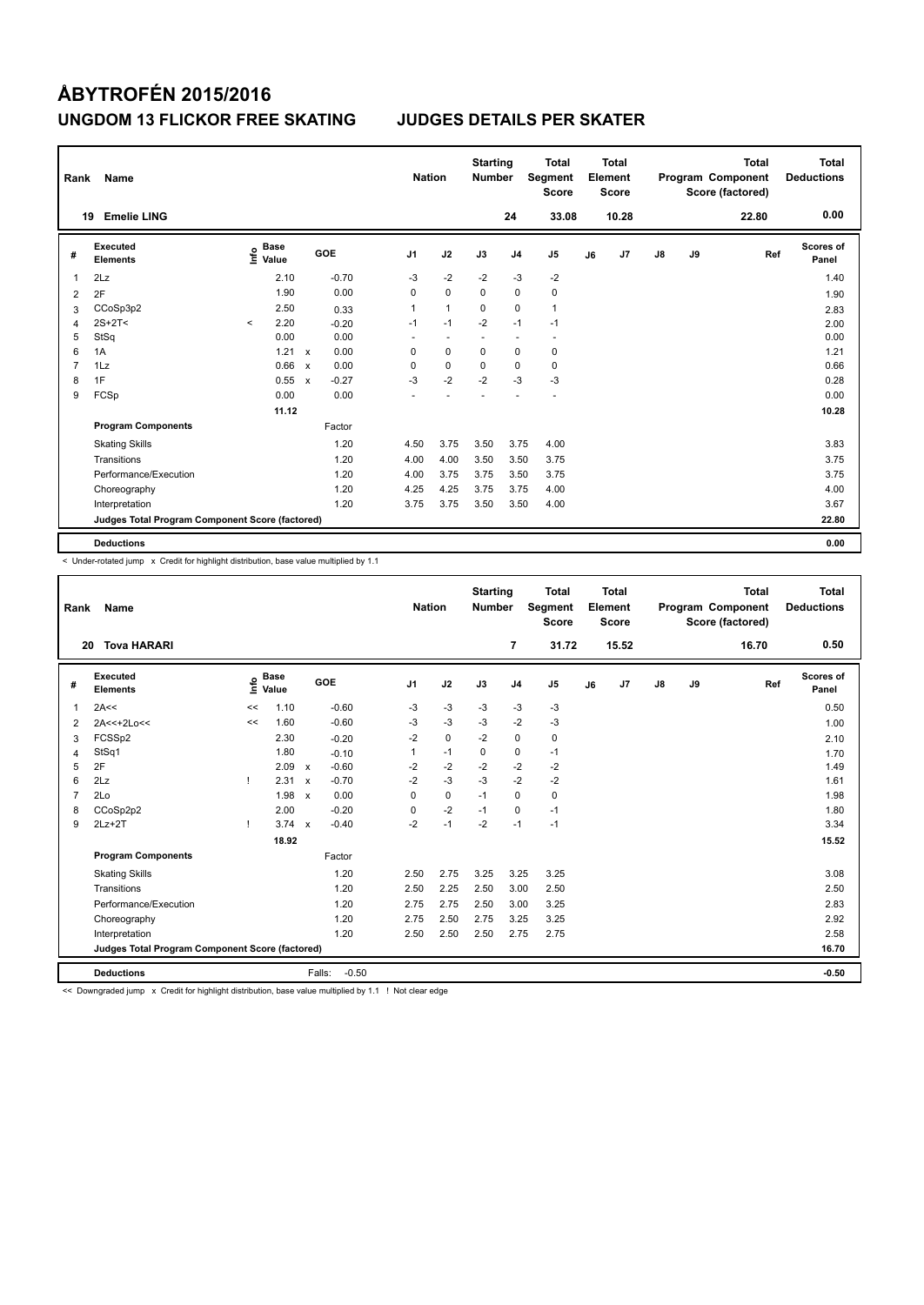| Rank           | Name                                            |         |                                  |              |         | <b>Nation</b>            |                          | <b>Starting</b><br><b>Number</b> |                | <b>Total</b><br>Segment<br><b>Score</b> |    | Total<br>Element<br><b>Score</b> |               |    | <b>Total</b><br>Program Component<br>Score (factored) | <b>Total</b><br><b>Deductions</b> |
|----------------|-------------------------------------------------|---------|----------------------------------|--------------|---------|--------------------------|--------------------------|----------------------------------|----------------|-----------------------------------------|----|----------------------------------|---------------|----|-------------------------------------------------------|-----------------------------------|
|                | <b>Emelie LING</b><br>19                        |         |                                  |              |         |                          |                          |                                  | 24             | 33.08                                   |    | 10.28                            |               |    | 22.80                                                 | 0.00                              |
| #              | Executed<br><b>Elements</b>                     |         | <b>Base</b><br>e Base<br>⊆ Value |              | GOE     | J <sub>1</sub>           | J2                       | J3                               | J <sub>4</sub> | J <sub>5</sub>                          | J6 | J7                               | $\mathsf{J}8$ | J9 | Ref                                                   | <b>Scores of</b><br>Panel         |
| 1              | 2Lz                                             |         | 2.10                             |              | $-0.70$ | $-3$                     | $-2$                     | $-2$                             | $-3$           | $-2$                                    |    |                                  |               |    |                                                       | 1.40                              |
| 2              | 2F                                              |         | 1.90                             |              | 0.00    | 0                        | $\mathbf 0$              | $\Omega$                         | 0              | 0                                       |    |                                  |               |    |                                                       | 1.90                              |
| 3              | CCoSp3p2                                        |         | 2.50                             |              | 0.33    | 1                        | $\mathbf{1}$             | $\Omega$                         | $\mathbf 0$    | $\mathbf{1}$                            |    |                                  |               |    |                                                       | 2.83                              |
| $\overline{4}$ | $2S+2T<$                                        | $\prec$ | 2.20                             |              | $-0.20$ | $-1$                     | $-1$                     | $-2$                             | $-1$           | $-1$                                    |    |                                  |               |    |                                                       | 2.00                              |
| 5              | StSq                                            |         | 0.00                             |              | 0.00    | $\overline{\phantom{a}}$ | $\overline{\phantom{a}}$ |                                  | ٠              | $\overline{\phantom{a}}$                |    |                                  |               |    |                                                       | 0.00                              |
| 6              | 1A                                              |         | 1.21                             | $\mathsf{x}$ | 0.00    | 0                        | $\mathbf 0$              | $\Omega$                         | 0              | 0                                       |    |                                  |               |    |                                                       | 1.21                              |
| 7              | 1Lz                                             |         | 0.66                             | $\mathsf{x}$ | 0.00    | 0                        | $\mathbf 0$              | $\mathbf 0$                      | $\mathbf 0$    | $\mathbf 0$                             |    |                                  |               |    |                                                       | 0.66                              |
| 8              | 1F                                              |         | 0.55                             | $\mathsf{x}$ | $-0.27$ | $-3$                     | $-2$                     | $-2$                             | $-3$           | $-3$                                    |    |                                  |               |    |                                                       | 0.28                              |
| 9              | FCSp                                            |         | 0.00                             |              | 0.00    |                          |                          |                                  |                |                                         |    |                                  |               |    |                                                       | 0.00                              |
|                |                                                 |         | 11.12                            |              |         |                          |                          |                                  |                |                                         |    |                                  |               |    |                                                       | 10.28                             |
|                | <b>Program Components</b>                       |         |                                  |              | Factor  |                          |                          |                                  |                |                                         |    |                                  |               |    |                                                       |                                   |
|                | <b>Skating Skills</b>                           |         |                                  |              | 1.20    | 4.50                     | 3.75                     | 3.50                             | 3.75           | 4.00                                    |    |                                  |               |    |                                                       | 3.83                              |
|                | Transitions                                     |         |                                  |              | 1.20    | 4.00                     | 4.00                     | 3.50                             | 3.50           | 3.75                                    |    |                                  |               |    |                                                       | 3.75                              |
|                | Performance/Execution                           |         |                                  |              | 1.20    | 4.00                     | 3.75                     | 3.75                             | 3.50           | 3.75                                    |    |                                  |               |    |                                                       | 3.75                              |
|                | Choreography                                    |         |                                  |              | 1.20    | 4.25                     | 4.25                     | 3.75                             | 3.75           | 4.00                                    |    |                                  |               |    |                                                       | 4.00                              |
|                | Interpretation                                  |         |                                  |              | 1.20    | 3.75                     | 3.75                     | 3.50                             | 3.50           | 4.00                                    |    |                                  |               |    |                                                       | 3.67                              |
|                | Judges Total Program Component Score (factored) |         |                                  |              |         |                          |                          |                                  |                |                                         |    |                                  |               |    |                                                       | 22.80                             |
|                | <b>Deductions</b>                               |         |                                  |              |         |                          |                          |                                  |                |                                         |    |                                  |               |    |                                                       | 0.00                              |

-<br>< Under-rotated jump x Credit for highlight distribution, base value multiplied by 1.1

| Rank           | Name                                            |      |                      |                           |                   | <b>Nation</b>  |             | <b>Starting</b><br><b>Number</b> |                | <b>Total</b><br>Segment<br><b>Score</b> |    | Total<br>Element<br><b>Score</b> |    |    | <b>Total</b><br>Program Component<br>Score (factored) | Total<br><b>Deductions</b> |
|----------------|-------------------------------------------------|------|----------------------|---------------------------|-------------------|----------------|-------------|----------------------------------|----------------|-----------------------------------------|----|----------------------------------|----|----|-------------------------------------------------------|----------------------------|
|                | <b>Tova HARARI</b><br>20                        |      |                      |                           |                   |                |             |                                  | 7              | 31.72                                   |    | 15.52                            |    |    | 16.70                                                 | 0.50                       |
| #              | Executed<br><b>Elements</b>                     | ١nf٥ | <b>Base</b><br>Value |                           | GOE               | J <sub>1</sub> | J2          | J3                               | J <sub>4</sub> | J <sub>5</sub>                          | J6 | J7                               | J8 | J9 | Ref                                                   | Scores of<br>Panel         |
| $\mathbf 1$    | 2A<<                                            | <<   | 1.10                 |                           | $-0.60$           | $-3$           | $-3$        | $-3$                             | $-3$           | $-3$                                    |    |                                  |    |    |                                                       | 0.50                       |
| 2              | 2A<<+2Lo<<                                      | <<   | 1.60                 |                           | $-0.60$           | $-3$           | $-3$        | $-3$                             | $-2$           | $-3$                                    |    |                                  |    |    |                                                       | 1.00                       |
| 3              | FCSSp2                                          |      | 2.30                 |                           | $-0.20$           | $-2$           | $\mathbf 0$ | $-2$                             | $\mathbf 0$    | 0                                       |    |                                  |    |    |                                                       | 2.10                       |
| $\overline{4}$ | StSq1                                           |      | 1.80                 |                           | $-0.10$           | 1              | $-1$        | $\mathbf 0$                      | $\mathbf 0$    | $-1$                                    |    |                                  |    |    |                                                       | 1.70                       |
| 5              | 2F                                              |      | 2.09                 | $\boldsymbol{\mathsf{x}}$ | $-0.60$           | $-2$           | $-2$        | $-2$                             | $-2$           | $-2$                                    |    |                                  |    |    |                                                       | 1.49                       |
| 6              | 2Lz                                             |      | 2.31                 | $\boldsymbol{\mathsf{x}}$ | $-0.70$           | $-2$           | $-3$        | $-3$                             | $-2$           | $-2$                                    |    |                                  |    |    |                                                       | 1.61                       |
| $\overline{7}$ | 2Lo                                             |      | 1.98                 | $\boldsymbol{\mathsf{x}}$ | 0.00              | $\Omega$       | $\mathbf 0$ | $-1$                             | $\Omega$       | $\mathbf 0$                             |    |                                  |    |    |                                                       | 1.98                       |
| 8              | CCoSp2p2                                        |      | 2.00                 |                           | $-0.20$           | 0              | $-2$        | $-1$                             | 0              | $-1$                                    |    |                                  |    |    |                                                       | 1.80                       |
| 9              | $2Lz+2T$                                        |      | $3.74 \times$        |                           | $-0.40$           | $-2$           | $-1$        | $-2$                             | $-1$           | $-1$                                    |    |                                  |    |    |                                                       | 3.34                       |
|                |                                                 |      | 18.92                |                           |                   |                |             |                                  |                |                                         |    |                                  |    |    |                                                       | 15.52                      |
|                | <b>Program Components</b>                       |      |                      |                           | Factor            |                |             |                                  |                |                                         |    |                                  |    |    |                                                       |                            |
|                | <b>Skating Skills</b>                           |      |                      |                           | 1.20              | 2.50           | 2.75        | 3.25                             | 3.25           | 3.25                                    |    |                                  |    |    |                                                       | 3.08                       |
|                | Transitions                                     |      |                      |                           | 1.20              | 2.50           | 2.25        | 2.50                             | 3.00           | 2.50                                    |    |                                  |    |    |                                                       | 2.50                       |
|                | Performance/Execution                           |      |                      |                           | 1.20              | 2.75           | 2.75        | 2.50                             | 3.00           | 3.25                                    |    |                                  |    |    |                                                       | 2.83                       |
|                | Choreography                                    |      |                      |                           | 1.20              | 2.75           | 2.50        | 2.75                             | 3.25           | 3.25                                    |    |                                  |    |    |                                                       | 2.92                       |
|                | Interpretation                                  |      |                      |                           | 1.20              | 2.50           | 2.50        | 2.50                             | 2.75           | 2.75                                    |    |                                  |    |    |                                                       | 2.58                       |
|                | Judges Total Program Component Score (factored) |      |                      |                           |                   |                |             |                                  |                |                                         |    |                                  |    |    |                                                       | 16.70                      |
|                | <b>Deductions</b>                               |      |                      |                           | $-0.50$<br>Falls: |                |             |                                  |                |                                         |    |                                  |    |    |                                                       | $-0.50$                    |

<< Downgraded jump x Credit for highlight distribution, base value multiplied by 1.1 ! Not clear edge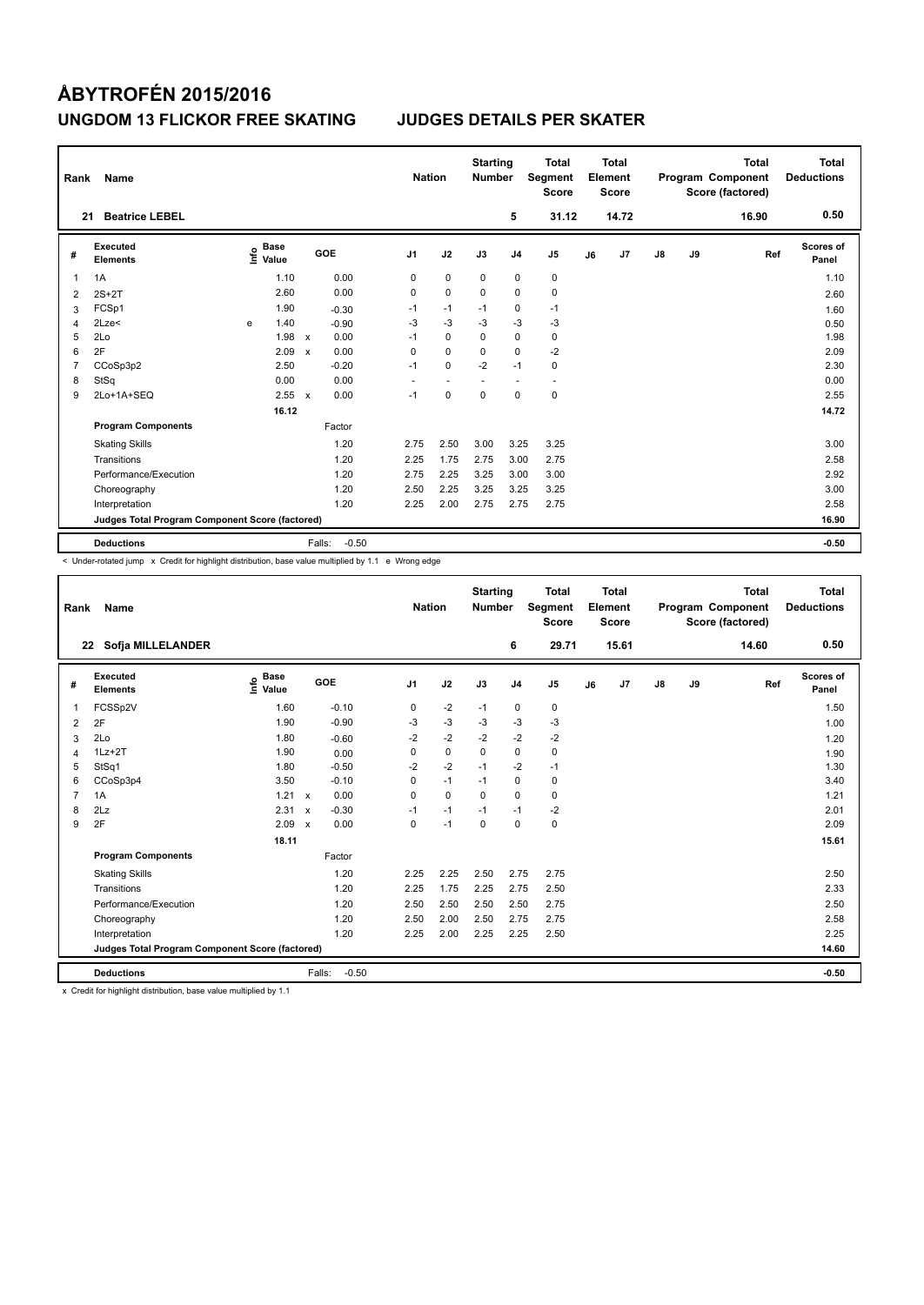| Rank           | Name                                            |      |                      |                           |                   | <b>Nation</b>            |                          | <b>Starting</b><br><b>Number</b> |                | <b>Total</b><br>Segment<br><b>Score</b> |    | <b>Total</b><br>Element<br><b>Score</b> |               |    | <b>Total</b><br>Program Component<br>Score (factored) | <b>Total</b><br><b>Deductions</b> |
|----------------|-------------------------------------------------|------|----------------------|---------------------------|-------------------|--------------------------|--------------------------|----------------------------------|----------------|-----------------------------------------|----|-----------------------------------------|---------------|----|-------------------------------------------------------|-----------------------------------|
| 21             | <b>Beatrice LEBEL</b>                           |      |                      |                           |                   |                          |                          |                                  | 5              | 31.12                                   |    | 14.72                                   |               |    | 16.90                                                 | 0.50                              |
| #              | Executed<br><b>Elements</b>                     | ١nf٥ | <b>Base</b><br>Value |                           | GOE               | J <sub>1</sub>           | J2                       | J3                               | J <sub>4</sub> | J <sub>5</sub>                          | J6 | J7                                      | $\mathsf{J}8$ | J9 | Ref                                                   | Scores of<br>Panel                |
| 1              | 1A                                              |      | 1.10                 |                           | 0.00              | 0                        | $\mathbf 0$              | $\mathbf 0$                      | $\mathbf 0$    | $\pmb{0}$                               |    |                                         |               |    |                                                       | 1.10                              |
| 2              | $2S+2T$                                         |      | 2.60                 |                           | 0.00              | 0                        | $\mathbf 0$              | $\mathbf 0$                      | $\mathbf 0$    | $\mathbf 0$                             |    |                                         |               |    |                                                       | 2.60                              |
| 3              | FCSp1                                           |      | 1.90                 |                           | $-0.30$           | $-1$                     | $-1$                     | $-1$                             | 0              | $-1$                                    |    |                                         |               |    |                                                       | 1.60                              |
| 4              | 2Lze<                                           | e    | 1.40                 |                           | $-0.90$           | $-3$                     | $-3$                     | $-3$                             | $-3$           | $-3$                                    |    |                                         |               |    |                                                       | 0.50                              |
| 5              | 2Lo                                             |      | 1.98                 | $\boldsymbol{\mathsf{x}}$ | 0.00              | $-1$                     | $\mathbf 0$              | $\Omega$                         | $\mathbf 0$    | $\mathbf 0$                             |    |                                         |               |    |                                                       | 1.98                              |
| 6              | 2F                                              |      | 2.09                 | X                         | 0.00              | 0                        | $\mathbf 0$              | 0                                | 0              | $-2$                                    |    |                                         |               |    |                                                       | 2.09                              |
| $\overline{7}$ | CCoSp3p2                                        |      | 2.50                 |                           | $-0.20$           | $-1$                     | $\Omega$                 | $-2$                             | $-1$           | 0                                       |    |                                         |               |    |                                                       | 2.30                              |
| 8              | StSq                                            |      | 0.00                 |                           | 0.00              | $\overline{\phantom{a}}$ | $\overline{\phantom{a}}$ | $\overline{\phantom{a}}$         | ٠              | $\overline{\phantom{a}}$                |    |                                         |               |    |                                                       | 0.00                              |
| 9              | 2Lo+1A+SEQ                                      |      | 2.55                 | $\boldsymbol{\mathsf{x}}$ | 0.00              | $-1$                     | 0                        | 0                                | $\mathbf 0$    | $\pmb{0}$                               |    |                                         |               |    |                                                       | 2.55                              |
|                |                                                 |      | 16.12                |                           |                   |                          |                          |                                  |                |                                         |    |                                         |               |    |                                                       | 14.72                             |
|                | <b>Program Components</b>                       |      |                      |                           | Factor            |                          |                          |                                  |                |                                         |    |                                         |               |    |                                                       |                                   |
|                | <b>Skating Skills</b>                           |      |                      |                           | 1.20              | 2.75                     | 2.50                     | 3.00                             | 3.25           | 3.25                                    |    |                                         |               |    |                                                       | 3.00                              |
|                | Transitions                                     |      |                      |                           | 1.20              | 2.25                     | 1.75                     | 2.75                             | 3.00           | 2.75                                    |    |                                         |               |    |                                                       | 2.58                              |
|                | Performance/Execution                           |      |                      |                           | 1.20              | 2.75                     | 2.25                     | 3.25                             | 3.00           | 3.00                                    |    |                                         |               |    |                                                       | 2.92                              |
|                | Choreography                                    |      |                      |                           | 1.20              | 2.50                     | 2.25                     | 3.25                             | 3.25           | 3.25                                    |    |                                         |               |    |                                                       | 3.00                              |
|                | Interpretation                                  |      |                      |                           | 1.20              | 2.25                     | 2.00                     | 2.75                             | 2.75           | 2.75                                    |    |                                         |               |    |                                                       | 2.58                              |
|                | Judges Total Program Component Score (factored) |      |                      |                           |                   |                          |                          |                                  |                |                                         |    |                                         |               |    |                                                       | 16.90                             |
|                | <b>Deductions</b>                               |      |                      |                           | $-0.50$<br>Falls: |                          |                          |                                  |                |                                         |    |                                         |               |    |                                                       | $-0.50$                           |

< Under-rotated jump x Credit for highlight distribution, base value multiplied by 1.1 e Wrong edge

| Rank           | <b>Name</b>                                     |                                    |                           |         | <b>Nation</b>  |             | <b>Starting</b><br><b>Number</b> |                | <b>Total</b><br>Segment<br><b>Score</b> |    | Total<br>Element<br><b>Score</b> |               |    | <b>Total</b><br>Program Component<br>Score (factored) | Total<br><b>Deductions</b> |
|----------------|-------------------------------------------------|------------------------------------|---------------------------|---------|----------------|-------------|----------------------------------|----------------|-----------------------------------------|----|----------------------------------|---------------|----|-------------------------------------------------------|----------------------------|
|                | Sofja MILLELANDER<br>22                         |                                    |                           |         |                |             |                                  | 6              | 29.71                                   |    | 15.61                            |               |    | 14.60                                                 | 0.50                       |
| #              | Executed<br><b>Elements</b>                     | <b>Base</b><br>$\frac{6}{5}$ Value |                           | GOE     | J <sub>1</sub> | J2          | J3                               | J <sub>4</sub> | J <sub>5</sub>                          | J6 | J7                               | $\mathsf{J}8$ | J9 | Ref                                                   | <b>Scores of</b><br>Panel  |
| $\mathbf{1}$   | FCSSp2V                                         | 1.60                               |                           | $-0.10$ | 0              | $-2$        | $-1$                             | $\mathbf 0$    | 0                                       |    |                                  |               |    |                                                       | 1.50                       |
| 2              | 2F                                              | 1.90                               |                           | $-0.90$ | -3             | $-3$        | $-3$                             | $-3$           | $-3$                                    |    |                                  |               |    |                                                       | 1.00                       |
| 3              | 2Lo                                             | 1.80                               |                           | $-0.60$ | $-2$           | $-2$        | $-2$                             | $-2$           | $-2$                                    |    |                                  |               |    |                                                       | 1.20                       |
| 4              | $1Lz + 2T$                                      | 1.90                               |                           | 0.00    | 0              | $\mathbf 0$ | $\Omega$                         | $\mathbf 0$    | $\mathbf 0$                             |    |                                  |               |    |                                                       | 1.90                       |
| 5              | StSq1                                           | 1.80                               |                           | $-0.50$ | $-2$           | $-2$        | $-1$                             | $-2$           | $-1$                                    |    |                                  |               |    |                                                       | 1.30                       |
| 6              | CCoSp3p4                                        | 3.50                               |                           | $-0.10$ | $\Omega$       | $-1$        | $-1$                             | $\mathbf 0$    | 0                                       |    |                                  |               |    |                                                       | 3.40                       |
| $\overline{7}$ | 1A                                              | 1.21                               | $\boldsymbol{\mathsf{x}}$ | 0.00    | 0              | $\mathbf 0$ | $\mathbf 0$                      | $\mathbf 0$    | $\mathbf 0$                             |    |                                  |               |    |                                                       | 1.21                       |
| 8              | 2Lz                                             | 2.31                               | $\boldsymbol{\mathsf{x}}$ | $-0.30$ | $-1$           | $-1$        | $-1$                             | $-1$           | $-2$                                    |    |                                  |               |    |                                                       | 2.01                       |
| 9              | 2F                                              | 2.09                               | $\boldsymbol{\mathsf{x}}$ | 0.00    | 0              | $-1$        | 0                                | $\mathbf 0$    | $\mathbf 0$                             |    |                                  |               |    |                                                       | 2.09                       |
|                |                                                 | 18.11                              |                           |         |                |             |                                  |                |                                         |    |                                  |               |    |                                                       | 15.61                      |
|                | <b>Program Components</b>                       |                                    |                           | Factor  |                |             |                                  |                |                                         |    |                                  |               |    |                                                       |                            |
|                | <b>Skating Skills</b>                           |                                    |                           | 1.20    | 2.25           | 2.25        | 2.50                             | 2.75           | 2.75                                    |    |                                  |               |    |                                                       | 2.50                       |
|                | Transitions                                     |                                    |                           | 1.20    | 2.25           | 1.75        | 2.25                             | 2.75           | 2.50                                    |    |                                  |               |    |                                                       | 2.33                       |
|                | Performance/Execution                           |                                    |                           | 1.20    | 2.50           | 2.50        | 2.50                             | 2.50           | 2.75                                    |    |                                  |               |    |                                                       | 2.50                       |
|                | Choreography                                    |                                    |                           | 1.20    | 2.50           | 2.00        | 2.50                             | 2.75           | 2.75                                    |    |                                  |               |    |                                                       | 2.58                       |
|                | Interpretation                                  |                                    |                           | 1.20    | 2.25           | 2.00        | 2.25                             | 2.25           | 2.50                                    |    |                                  |               |    |                                                       | 2.25                       |
|                | Judges Total Program Component Score (factored) |                                    |                           |         |                |             |                                  |                |                                         |    |                                  |               |    |                                                       | 14.60                      |
|                | <b>Deductions</b>                               |                                    | Falls:                    | $-0.50$ |                |             |                                  |                |                                         |    |                                  |               |    |                                                       | $-0.50$                    |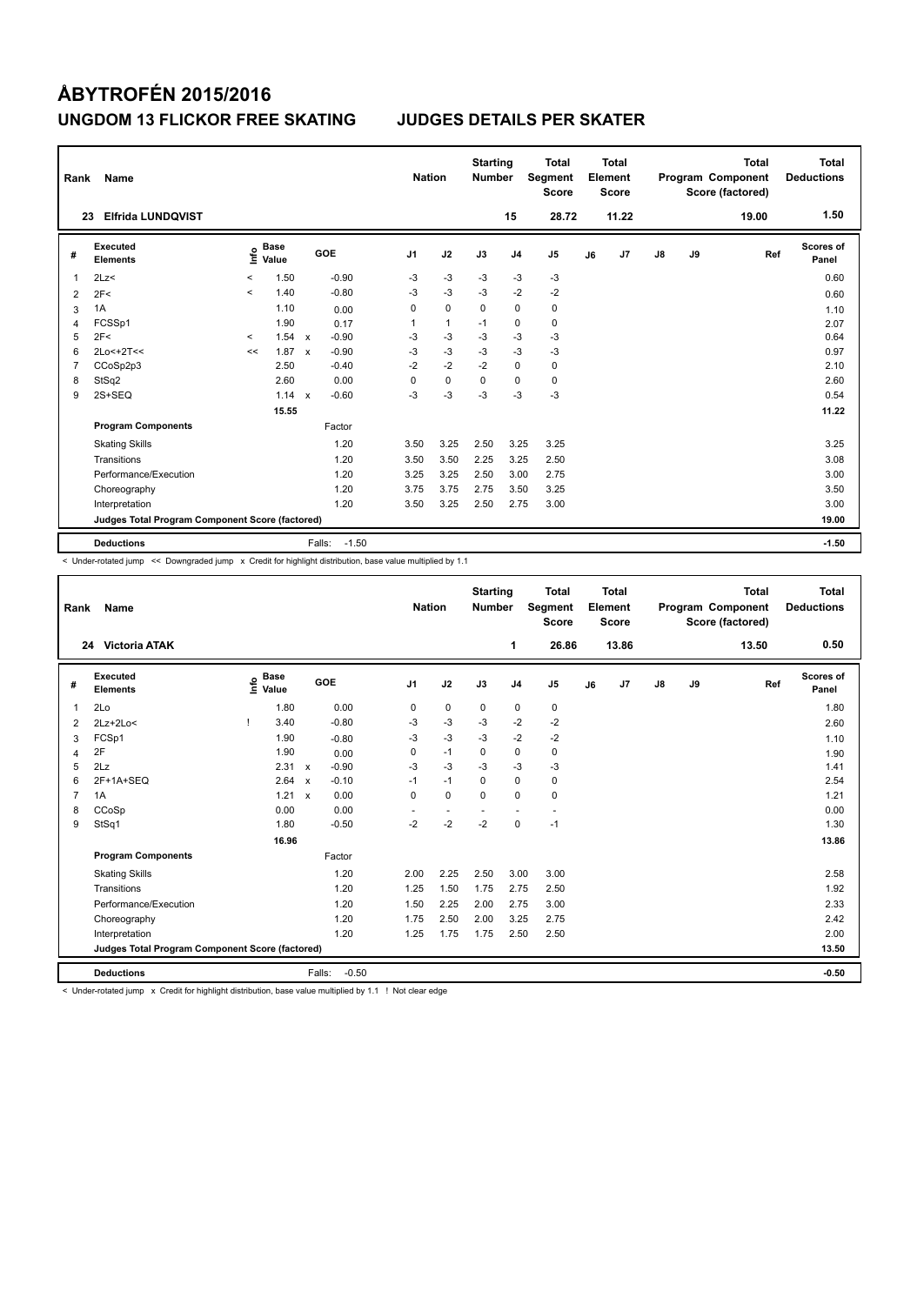| Rank           | Name                                            |         |                      |                           |                   | <b>Nation</b>  |              | <b>Starting</b><br><b>Number</b> |                | <b>Total</b><br>Segment<br><b>Score</b> |    | <b>Total</b><br>Element<br><b>Score</b> |               |    | <b>Total</b><br>Program Component<br>Score (factored) | Total<br><b>Deductions</b> |
|----------------|-------------------------------------------------|---------|----------------------|---------------------------|-------------------|----------------|--------------|----------------------------------|----------------|-----------------------------------------|----|-----------------------------------------|---------------|----|-------------------------------------------------------|----------------------------|
|                | <b>Elfrida LUNDQVIST</b><br>23                  |         |                      |                           |                   |                |              |                                  | 15             | 28.72                                   |    | 11.22                                   |               |    | 19.00                                                 | 1.50                       |
| #              | Executed<br><b>Elements</b>                     | ١nf٥    | <b>Base</b><br>Value |                           | GOE               | J <sub>1</sub> | J2           | J3                               | J <sub>4</sub> | J <sub>5</sub>                          | J6 | J7                                      | $\mathsf{J}8$ | J9 | Ref                                                   | Scores of<br>Panel         |
| $\overline{1}$ | 2Lz                                             | $\prec$ | 1.50                 |                           | $-0.90$           | $-3$           | $-3$         | $-3$                             | $-3$           | $-3$                                    |    |                                         |               |    |                                                       | 0.60                       |
| 2              | 2F<                                             | $\prec$ | 1.40                 |                           | $-0.80$           | $-3$           | $-3$         | $-3$                             | $-2$           | $-2$                                    |    |                                         |               |    |                                                       | 0.60                       |
| 3              | 1A                                              |         | 1.10                 |                           | 0.00              | 0              | $\mathbf 0$  | 0                                | $\mathbf 0$    | 0                                       |    |                                         |               |    |                                                       | 1.10                       |
| 4              | FCSSp1                                          |         | 1.90                 |                           | 0.17              | 1              | $\mathbf{1}$ | $-1$                             | $\mathbf 0$    | 0                                       |    |                                         |               |    |                                                       | 2.07                       |
| 5              | 2F<                                             | $\prec$ | 1.54                 | $\mathbf{x}$              | $-0.90$           | $-3$           | $-3$         | $-3$                             | $-3$           | $-3$                                    |    |                                         |               |    |                                                       | 0.64                       |
| 6              | 2Lo<+2T<<                                       | <<      | 1.87                 | $\boldsymbol{\mathsf{x}}$ | $-0.90$           | -3             | $-3$         | $-3$                             | $-3$           | $-3$                                    |    |                                         |               |    |                                                       | 0.97                       |
| $\overline{7}$ | CCoSp2p3                                        |         | 2.50                 |                           | $-0.40$           | $-2$           | $-2$         | $-2$                             | $\mathbf 0$    | 0                                       |    |                                         |               |    |                                                       | 2.10                       |
| 8              | StSq2                                           |         | 2.60                 |                           | 0.00              | $\Omega$       | $\mathbf 0$  | $\Omega$                         | 0              | 0                                       |    |                                         |               |    |                                                       | 2.60                       |
| 9              | $2S+SEQ$                                        |         | 1.14                 | $\boldsymbol{\mathsf{x}}$ | $-0.60$           | -3             | $-3$         | -3                               | $-3$           | $-3$                                    |    |                                         |               |    |                                                       | 0.54                       |
|                |                                                 |         | 15.55                |                           |                   |                |              |                                  |                |                                         |    |                                         |               |    |                                                       | 11.22                      |
|                | <b>Program Components</b>                       |         |                      |                           | Factor            |                |              |                                  |                |                                         |    |                                         |               |    |                                                       |                            |
|                | <b>Skating Skills</b>                           |         |                      |                           | 1.20              | 3.50           | 3.25         | 2.50                             | 3.25           | 3.25                                    |    |                                         |               |    |                                                       | 3.25                       |
|                | Transitions                                     |         |                      |                           | 1.20              | 3.50           | 3.50         | 2.25                             | 3.25           | 2.50                                    |    |                                         |               |    |                                                       | 3.08                       |
|                | Performance/Execution                           |         |                      |                           | 1.20              | 3.25           | 3.25         | 2.50                             | 3.00           | 2.75                                    |    |                                         |               |    |                                                       | 3.00                       |
|                | Choreography                                    |         |                      |                           | 1.20              | 3.75           | 3.75         | 2.75                             | 3.50           | 3.25                                    |    |                                         |               |    |                                                       | 3.50                       |
|                | Interpretation                                  |         |                      |                           | 1.20              | 3.50           | 3.25         | 2.50                             | 2.75           | 3.00                                    |    |                                         |               |    |                                                       | 3.00                       |
|                | Judges Total Program Component Score (factored) |         |                      |                           |                   |                |              |                                  |                |                                         |    |                                         |               |    |                                                       | 19.00                      |
|                | <b>Deductions</b>                               |         |                      |                           | $-1.50$<br>Falls: |                |              |                                  |                |                                         |    |                                         |               |    |                                                       | $-1.50$                    |

< Under-rotated jump << Downgraded jump x Credit for highlight distribution, base value multiplied by 1.1

| Rank           | <b>Name</b>                                     |                                  |                                      | <b>Nation</b>  |             | <b>Starting</b><br><b>Number</b> |                | <b>Total</b><br>Segment<br><b>Score</b> |    | Total<br>Element<br><b>Score</b> |    |    | <b>Total</b><br>Program Component<br>Score (factored) | <b>Total</b><br><b>Deductions</b> |
|----------------|-------------------------------------------------|----------------------------------|--------------------------------------|----------------|-------------|----------------------------------|----------------|-----------------------------------------|----|----------------------------------|----|----|-------------------------------------------------------|-----------------------------------|
|                | <b>Victoria ATAK</b><br>24                      |                                  |                                      |                |             |                                  | 1              | 26.86                                   |    | 13.86                            |    |    | 13.50                                                 | 0.50                              |
| #              | Executed<br><b>Elements</b>                     | <b>Base</b><br>e Base<br>⊆ Value | GOE                                  | J <sub>1</sub> | J2          | J3                               | J <sub>4</sub> | J <sub>5</sub>                          | J6 | J7                               | J8 | J9 | Ref                                                   | Scores of<br>Panel                |
| $\overline{1}$ | 2Lo                                             | 1.80                             | 0.00                                 | 0              | $\mathbf 0$ | $\mathbf 0$                      | 0              | $\pmb{0}$                               |    |                                  |    |    |                                                       | 1.80                              |
| 2              | $2Lz+2Lo<$                                      | 3.40                             | $-0.80$                              | $-3$           | $-3$        | $-3$                             | $-2$           | $-2$                                    |    |                                  |    |    |                                                       | 2.60                              |
| 3              | FCSp1                                           | 1.90                             | $-0.80$                              | $-3$           | $-3$        | $-3$                             | $-2$           | $-2$                                    |    |                                  |    |    |                                                       | 1.10                              |
| 4              | 2F                                              | 1.90                             | 0.00                                 | 0              | $-1$        | 0                                | $\mathbf 0$    | $\mathbf 0$                             |    |                                  |    |    |                                                       | 1.90                              |
| 5              | 2Lz                                             | 2.31                             | $-0.90$<br>$\boldsymbol{\mathsf{x}}$ | $-3$           | $-3$        | $-3$                             | $-3$           | $-3$                                    |    |                                  |    |    |                                                       | 1.41                              |
| 6              | 2F+1A+SEQ                                       | 2.64                             | $-0.10$<br>$\boldsymbol{\mathsf{x}}$ | $-1$           | $-1$        | 0                                | $\mathbf 0$    | $\mathbf 0$                             |    |                                  |    |    |                                                       | 2.54                              |
| $\overline{7}$ | 1A                                              | 1.21                             | 0.00<br>$\boldsymbol{\mathsf{x}}$    | $\mathbf 0$    | $\mathbf 0$ | $\Omega$                         | $\Omega$       | $\mathbf 0$                             |    |                                  |    |    |                                                       | 1.21                              |
| 8              | CCoSp                                           | 0.00                             | 0.00                                 | ٠              | ٠           |                                  | ٠.             | $\sim$                                  |    |                                  |    |    |                                                       | 0.00                              |
| 9              | StSq1                                           | 1.80                             | $-0.50$                              | $-2$           | $-2$        | $-2$                             | $\mathbf 0$    | $-1$                                    |    |                                  |    |    |                                                       | 1.30                              |
|                |                                                 | 16.96                            |                                      |                |             |                                  |                |                                         |    |                                  |    |    |                                                       | 13.86                             |
|                | <b>Program Components</b>                       |                                  | Factor                               |                |             |                                  |                |                                         |    |                                  |    |    |                                                       |                                   |
|                | <b>Skating Skills</b>                           |                                  | 1.20                                 | 2.00           | 2.25        | 2.50                             | 3.00           | 3.00                                    |    |                                  |    |    |                                                       | 2.58                              |
|                | Transitions                                     |                                  | 1.20                                 | 1.25           | 1.50        | 1.75                             | 2.75           | 2.50                                    |    |                                  |    |    |                                                       | 1.92                              |
|                | Performance/Execution                           |                                  | 1.20                                 | 1.50           | 2.25        | 2.00                             | 2.75           | 3.00                                    |    |                                  |    |    |                                                       | 2.33                              |
|                | Choreography                                    |                                  | 1.20                                 | 1.75           | 2.50        | 2.00                             | 3.25           | 2.75                                    |    |                                  |    |    |                                                       | 2.42                              |
|                | Interpretation                                  |                                  | 1.20                                 | 1.25           | 1.75        | 1.75                             | 2.50           | 2.50                                    |    |                                  |    |    |                                                       | 2.00                              |
|                | Judges Total Program Component Score (factored) |                                  |                                      |                |             |                                  |                |                                         |    |                                  |    |    |                                                       | 13.50                             |
|                | <b>Deductions</b>                               |                                  | $-0.50$<br>Falls:                    |                |             |                                  |                |                                         |    |                                  |    |    |                                                       | $-0.50$                           |

< Under-rotated jump x Credit for highlight distribution, base value multiplied by 1.1 ! Not clear edge